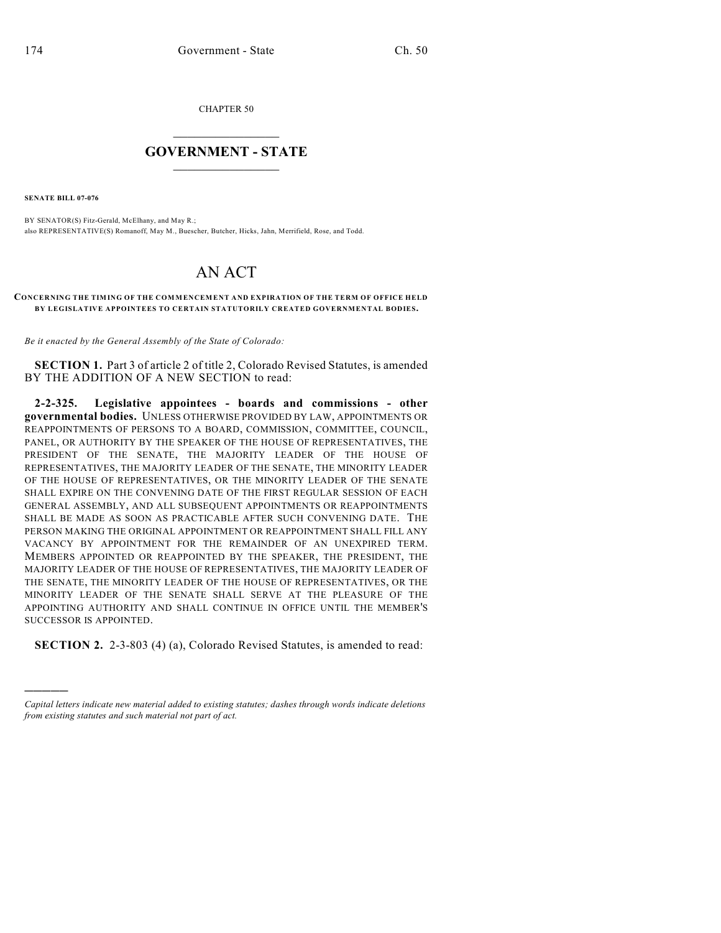CHAPTER 50

## $\mathcal{L}_\text{max}$  . The set of the set of the set of the set of the set of the set of the set of the set of the set of the set of the set of the set of the set of the set of the set of the set of the set of the set of the set **GOVERNMENT - STATE**  $\_$   $\_$   $\_$   $\_$   $\_$   $\_$   $\_$   $\_$   $\_$

**SENATE BILL 07-076**

)))))

BY SENATOR(S) Fitz-Gerald, McElhany, and May R.; also REPRESENTATIVE(S) Romanoff, May M., Buescher, Butcher, Hicks, Jahn, Merrifield, Rose, and Todd.

# AN ACT

#### **CONCERNING THE TIMING OF THE COMMENCEMENT AND EXPIRATION OF THE TERM OF OFFICE HELD BY LEGISLATIVE APPOINTEES TO CERTAIN STATUTORILY CREATED GOVERNMENTAL BODIES.**

*Be it enacted by the General Assembly of the State of Colorado:*

**SECTION 1.** Part 3 of article 2 of title 2, Colorado Revised Statutes, is amended BY THE ADDITION OF A NEW SECTION to read:

**2-2-325. Legislative appointees - boards and commissions - other governmental bodies.** UNLESS OTHERWISE PROVIDED BY LAW, APPOINTMENTS OR REAPPOINTMENTS OF PERSONS TO A BOARD, COMMISSION, COMMITTEE, COUNCIL, PANEL, OR AUTHORITY BY THE SPEAKER OF THE HOUSE OF REPRESENTATIVES, THE PRESIDENT OF THE SENATE, THE MAJORITY LEADER OF THE HOUSE OF REPRESENTATIVES, THE MAJORITY LEADER OF THE SENATE, THE MINORITY LEADER OF THE HOUSE OF REPRESENTATIVES, OR THE MINORITY LEADER OF THE SENATE SHALL EXPIRE ON THE CONVENING DATE OF THE FIRST REGULAR SESSION OF EACH GENERAL ASSEMBLY, AND ALL SUBSEQUENT APPOINTMENTS OR REAPPOINTMENTS SHALL BE MADE AS SOON AS PRACTICABLE AFTER SUCH CONVENING DATE. THE PERSON MAKING THE ORIGINAL APPOINTMENT OR REAPPOINTMENT SHALL FILL ANY VACANCY BY APPOINTMENT FOR THE REMAINDER OF AN UNEXPIRED TERM. MEMBERS APPOINTED OR REAPPOINTED BY THE SPEAKER, THE PRESIDENT, THE MAJORITY LEADER OF THE HOUSE OF REPRESENTATIVES, THE MAJORITY LEADER OF THE SENATE, THE MINORITY LEADER OF THE HOUSE OF REPRESENTATIVES, OR THE MINORITY LEADER OF THE SENATE SHALL SERVE AT THE PLEASURE OF THE APPOINTING AUTHORITY AND SHALL CONTINUE IN OFFICE UNTIL THE MEMBER'S SUCCESSOR IS APPOINTED.

**SECTION 2.** 2-3-803 (4) (a), Colorado Revised Statutes, is amended to read:

*Capital letters indicate new material added to existing statutes; dashes through words indicate deletions from existing statutes and such material not part of act.*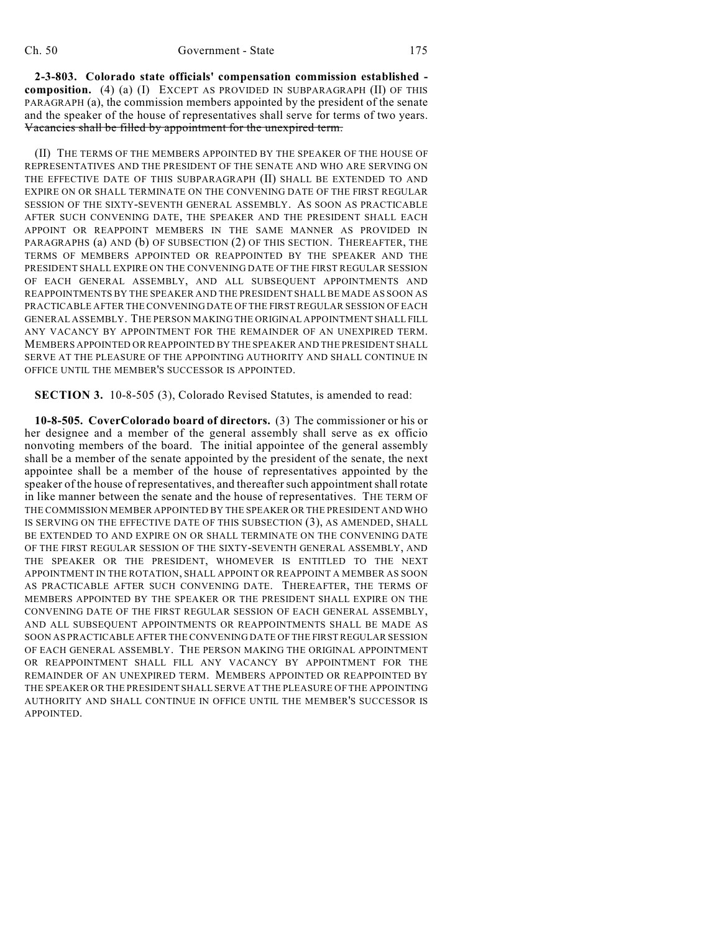**2-3-803. Colorado state officials' compensation commission established composition.** (4) (a) (I) EXCEPT AS PROVIDED IN SUBPARAGRAPH (II) OF THIS PARAGRAPH (a), the commission members appointed by the president of the senate and the speaker of the house of representatives shall serve for terms of two years. Vacancies shall be filled by appointment for the unexpired term.

(II) THE TERMS OF THE MEMBERS APPOINTED BY THE SPEAKER OF THE HOUSE OF REPRESENTATIVES AND THE PRESIDENT OF THE SENATE AND WHO ARE SERVING ON THE EFFECTIVE DATE OF THIS SUBPARAGRAPH (II) SHALL BE EXTENDED TO AND EXPIRE ON OR SHALL TERMINATE ON THE CONVENING DATE OF THE FIRST REGULAR SESSION OF THE SIXTY-SEVENTH GENERAL ASSEMBLY. AS SOON AS PRACTICABLE AFTER SUCH CONVENING DATE, THE SPEAKER AND THE PRESIDENT SHALL EACH APPOINT OR REAPPOINT MEMBERS IN THE SAME MANNER AS PROVIDED IN PARAGRAPHS (a) AND (b) OF SUBSECTION (2) OF THIS SECTION. THEREAFTER, THE TERMS OF MEMBERS APPOINTED OR REAPPOINTED BY THE SPEAKER AND THE PRESIDENT SHALL EXPIRE ON THE CONVENING DATE OF THE FIRST REGULAR SESSION OF EACH GENERAL ASSEMBLY, AND ALL SUBSEQUENT APPOINTMENTS AND REAPPOINTMENTS BY THE SPEAKER AND THE PRESIDENT SHALL BE MADE AS SOON AS PRACTICABLE AFTER THE CONVENING DATE OF THE FIRST REGULAR SESSION OF EACH GENERAL ASSEMBLY. THE PERSON MAKING THE ORIGINAL APPOINTMENT SHALL FILL ANY VACANCY BY APPOINTMENT FOR THE REMAINDER OF AN UNEXPIRED TERM. MEMBERS APPOINTED OR REAPPOINTED BY THE SPEAKER AND THE PRESIDENT SHALL SERVE AT THE PLEASURE OF THE APPOINTING AUTHORITY AND SHALL CONTINUE IN OFFICE UNTIL THE MEMBER'S SUCCESSOR IS APPOINTED.

**SECTION 3.** 10-8-505 (3), Colorado Revised Statutes, is amended to read:

**10-8-505. CoverColorado board of directors.** (3) The commissioner or his or her designee and a member of the general assembly shall serve as ex officio nonvoting members of the board. The initial appointee of the general assembly shall be a member of the senate appointed by the president of the senate, the next appointee shall be a member of the house of representatives appointed by the speaker of the house of representatives, and thereafter such appointment shall rotate in like manner between the senate and the house of representatives. THE TERM OF THE COMMISSION MEMBER APPOINTED BY THE SPEAKER OR THE PRESIDENT AND WHO IS SERVING ON THE EFFECTIVE DATE OF THIS SUBSECTION (3), AS AMENDED, SHALL BE EXTENDED TO AND EXPIRE ON OR SHALL TERMINATE ON THE CONVENING DATE OF THE FIRST REGULAR SESSION OF THE SIXTY-SEVENTH GENERAL ASSEMBLY, AND THE SPEAKER OR THE PRESIDENT, WHOMEVER IS ENTITLED TO THE NEXT APPOINTMENT IN THE ROTATION, SHALL APPOINT OR REAPPOINT A MEMBER AS SOON AS PRACTICABLE AFTER SUCH CONVENING DATE. THEREAFTER, THE TERMS OF MEMBERS APPOINTED BY THE SPEAKER OR THE PRESIDENT SHALL EXPIRE ON THE CONVENING DATE OF THE FIRST REGULAR SESSION OF EACH GENERAL ASSEMBLY, AND ALL SUBSEQUENT APPOINTMENTS OR REAPPOINTMENTS SHALL BE MADE AS SOON AS PRACTICABLE AFTER THE CONVENING DATE OF THE FIRST REGULAR SESSION OF EACH GENERAL ASSEMBLY. THE PERSON MAKING THE ORIGINAL APPOINTMENT OR REAPPOINTMENT SHALL FILL ANY VACANCY BY APPOINTMENT FOR THE REMAINDER OF AN UNEXPIRED TERM. MEMBERS APPOINTED OR REAPPOINTED BY THE SPEAKER OR THE PRESIDENT SHALL SERVE AT THE PLEASURE OF THE APPOINTING AUTHORITY AND SHALL CONTINUE IN OFFICE UNTIL THE MEMBER'S SUCCESSOR IS APPOINTED.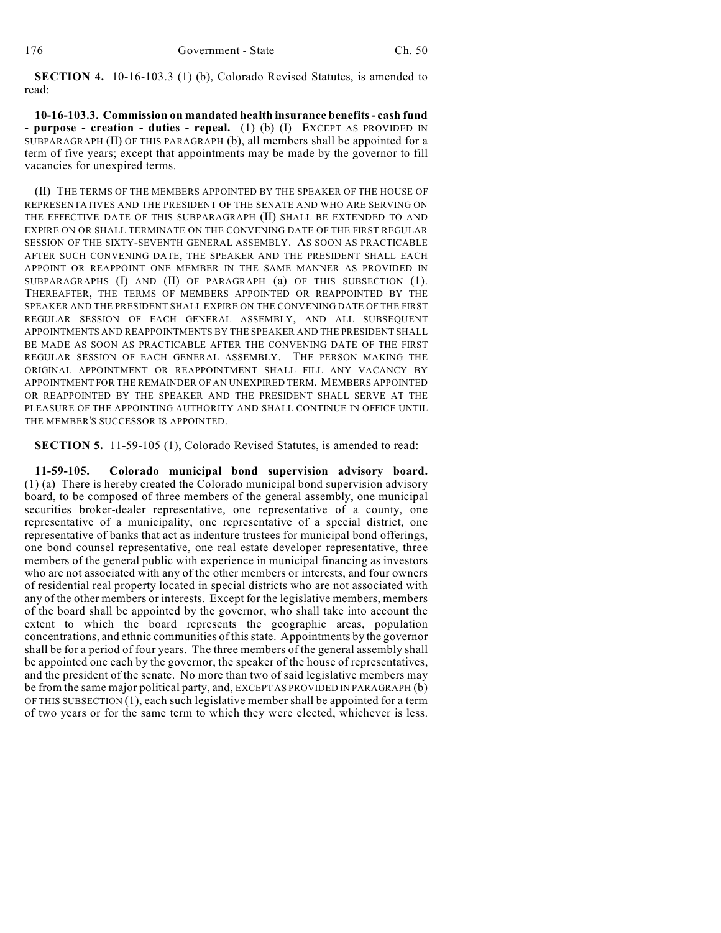**SECTION 4.** 10-16-103.3 (1) (b), Colorado Revised Statutes, is amended to read:

**10-16-103.3. Commission on mandated health insurance benefits- cash fund - purpose - creation - duties - repeal.** (1) (b) (I) EXCEPT AS PROVIDED IN SUBPARAGRAPH (II) OF THIS PARAGRAPH (b), all members shall be appointed for a term of five years; except that appointments may be made by the governor to fill vacancies for unexpired terms.

(II) THE TERMS OF THE MEMBERS APPOINTED BY THE SPEAKER OF THE HOUSE OF REPRESENTATIVES AND THE PRESIDENT OF THE SENATE AND WHO ARE SERVING ON THE EFFECTIVE DATE OF THIS SUBPARAGRAPH (II) SHALL BE EXTENDED TO AND EXPIRE ON OR SHALL TERMINATE ON THE CONVENING DATE OF THE FIRST REGULAR SESSION OF THE SIXTY-SEVENTH GENERAL ASSEMBLY. AS SOON AS PRACTICABLE AFTER SUCH CONVENING DATE, THE SPEAKER AND THE PRESIDENT SHALL EACH APPOINT OR REAPPOINT ONE MEMBER IN THE SAME MANNER AS PROVIDED IN SUBPARAGRAPHS (I) AND (II) OF PARAGRAPH (a) OF THIS SUBSECTION (1). THEREAFTER, THE TERMS OF MEMBERS APPOINTED OR REAPPOINTED BY THE SPEAKER AND THE PRESIDENT SHALL EXPIRE ON THE CONVENING DATE OF THE FIRST REGULAR SESSION OF EACH GENERAL ASSEMBLY, AND ALL SUBSEQUENT APPOINTMENTS AND REAPPOINTMENTS BY THE SPEAKER AND THE PRESIDENT SHALL BE MADE AS SOON AS PRACTICABLE AFTER THE CONVENING DATE OF THE FIRST REGULAR SESSION OF EACH GENERAL ASSEMBLY. THE PERSON MAKING THE ORIGINAL APPOINTMENT OR REAPPOINTMENT SHALL FILL ANY VACANCY BY APPOINTMENT FOR THE REMAINDER OF AN UNEXPIRED TERM. MEMBERS APPOINTED OR REAPPOINTED BY THE SPEAKER AND THE PRESIDENT SHALL SERVE AT THE PLEASURE OF THE APPOINTING AUTHORITY AND SHALL CONTINUE IN OFFICE UNTIL THE MEMBER'S SUCCESSOR IS APPOINTED.

**SECTION 5.** 11-59-105 (1), Colorado Revised Statutes, is amended to read:

**11-59-105. Colorado municipal bond supervision advisory board.** (1) (a) There is hereby created the Colorado municipal bond supervision advisory board, to be composed of three members of the general assembly, one municipal securities broker-dealer representative, one representative of a county, one representative of a municipality, one representative of a special district, one representative of banks that act as indenture trustees for municipal bond offerings, one bond counsel representative, one real estate developer representative, three members of the general public with experience in municipal financing as investors who are not associated with any of the other members or interests, and four owners of residential real property located in special districts who are not associated with any of the other members or interests. Except for the legislative members, members of the board shall be appointed by the governor, who shall take into account the extent to which the board represents the geographic areas, population concentrations, and ethnic communities of this state. Appointments by the governor shall be for a period of four years. The three members of the general assembly shall be appointed one each by the governor, the speaker of the house of representatives, and the president of the senate. No more than two of said legislative members may be from the same major political party, and, EXCEPT AS PROVIDED IN PARAGRAPH (b) OF THIS SUBSECTION (1), each such legislative member shall be appointed for a term of two years or for the same term to which they were elected, whichever is less.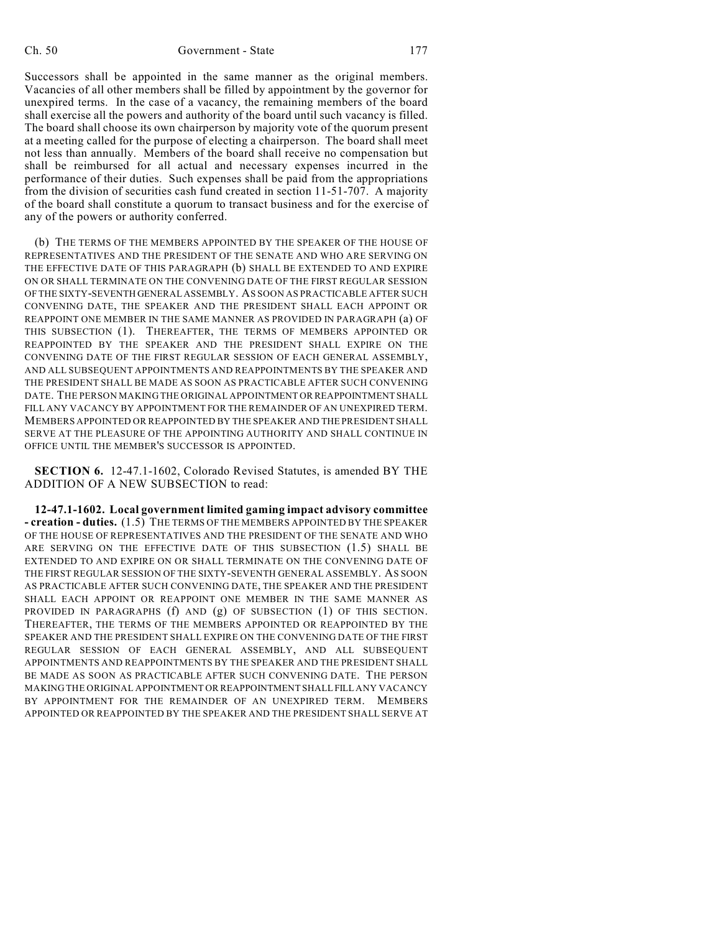Successors shall be appointed in the same manner as the original members. Vacancies of all other members shall be filled by appointment by the governor for unexpired terms. In the case of a vacancy, the remaining members of the board shall exercise all the powers and authority of the board until such vacancy is filled. The board shall choose its own chairperson by majority vote of the quorum present at a meeting called for the purpose of electing a chairperson. The board shall meet not less than annually. Members of the board shall receive no compensation but shall be reimbursed for all actual and necessary expenses incurred in the performance of their duties. Such expenses shall be paid from the appropriations from the division of securities cash fund created in section 11-51-707. A majority of the board shall constitute a quorum to transact business and for the exercise of any of the powers or authority conferred.

(b) THE TERMS OF THE MEMBERS APPOINTED BY THE SPEAKER OF THE HOUSE OF REPRESENTATIVES AND THE PRESIDENT OF THE SENATE AND WHO ARE SERVING ON THE EFFECTIVE DATE OF THIS PARAGRAPH (b) SHALL BE EXTENDED TO AND EXPIRE ON OR SHALL TERMINATE ON THE CONVENING DATE OF THE FIRST REGULAR SESSION OF THE SIXTY-SEVENTH GENERAL ASSEMBLY. AS SOON AS PRACTICABLE AFTER SUCH CONVENING DATE, THE SPEAKER AND THE PRESIDENT SHALL EACH APPOINT OR REAPPOINT ONE MEMBER IN THE SAME MANNER AS PROVIDED IN PARAGRAPH (a) OF THIS SUBSECTION (1). THEREAFTER, THE TERMS OF MEMBERS APPOINTED OR REAPPOINTED BY THE SPEAKER AND THE PRESIDENT SHALL EXPIRE ON THE CONVENING DATE OF THE FIRST REGULAR SESSION OF EACH GENERAL ASSEMBLY, AND ALL SUBSEQUENT APPOINTMENTS AND REAPPOINTMENTS BY THE SPEAKER AND THE PRESIDENT SHALL BE MADE AS SOON AS PRACTICABLE AFTER SUCH CONVENING DATE. THE PERSON MAKING THE ORIGINAL APPOINTMENT OR REAPPOINTMENT SHALL FILL ANY VACANCY BY APPOINTMENT FOR THE REMAINDER OF AN UNEXPIRED TERM. MEMBERS APPOINTED OR REAPPOINTED BY THE SPEAKER AND THE PRESIDENT SHALL SERVE AT THE PLEASURE OF THE APPOINTING AUTHORITY AND SHALL CONTINUE IN OFFICE UNTIL THE MEMBER'S SUCCESSOR IS APPOINTED.

**SECTION 6.** 12-47.1-1602, Colorado Revised Statutes, is amended BY THE ADDITION OF A NEW SUBSECTION to read:

**12-47.1-1602. Local government limited gaming impact advisory committee - creation - duties.** (1.5) THE TERMS OF THE MEMBERS APPOINTED BY THE SPEAKER OF THE HOUSE OF REPRESENTATIVES AND THE PRESIDENT OF THE SENATE AND WHO ARE SERVING ON THE EFFECTIVE DATE OF THIS SUBSECTION (1.5) SHALL BE EXTENDED TO AND EXPIRE ON OR SHALL TERMINATE ON THE CONVENING DATE OF THE FIRST REGULAR SESSION OF THE SIXTY-SEVENTH GENERAL ASSEMBLY. AS SOON AS PRACTICABLE AFTER SUCH CONVENING DATE, THE SPEAKER AND THE PRESIDENT SHALL EACH APPOINT OR REAPPOINT ONE MEMBER IN THE SAME MANNER AS PROVIDED IN PARAGRAPHS (f) AND (g) OF SUBSECTION (1) OF THIS SECTION. THEREAFTER, THE TERMS OF THE MEMBERS APPOINTED OR REAPPOINTED BY THE SPEAKER AND THE PRESIDENT SHALL EXPIRE ON THE CONVENING DATE OF THE FIRST REGULAR SESSION OF EACH GENERAL ASSEMBLY, AND ALL SUBSEQUENT APPOINTMENTS AND REAPPOINTMENTS BY THE SPEAKER AND THE PRESIDENT SHALL BE MADE AS SOON AS PRACTICABLE AFTER SUCH CONVENING DATE. THE PERSON MAKING THE ORIGINAL APPOINTMENT OR REAPPOINTMENT SHALL FILL ANY VACANCY BY APPOINTMENT FOR THE REMAINDER OF AN UNEXPIRED TERM. MEMBERS APPOINTED OR REAPPOINTED BY THE SPEAKER AND THE PRESIDENT SHALL SERVE AT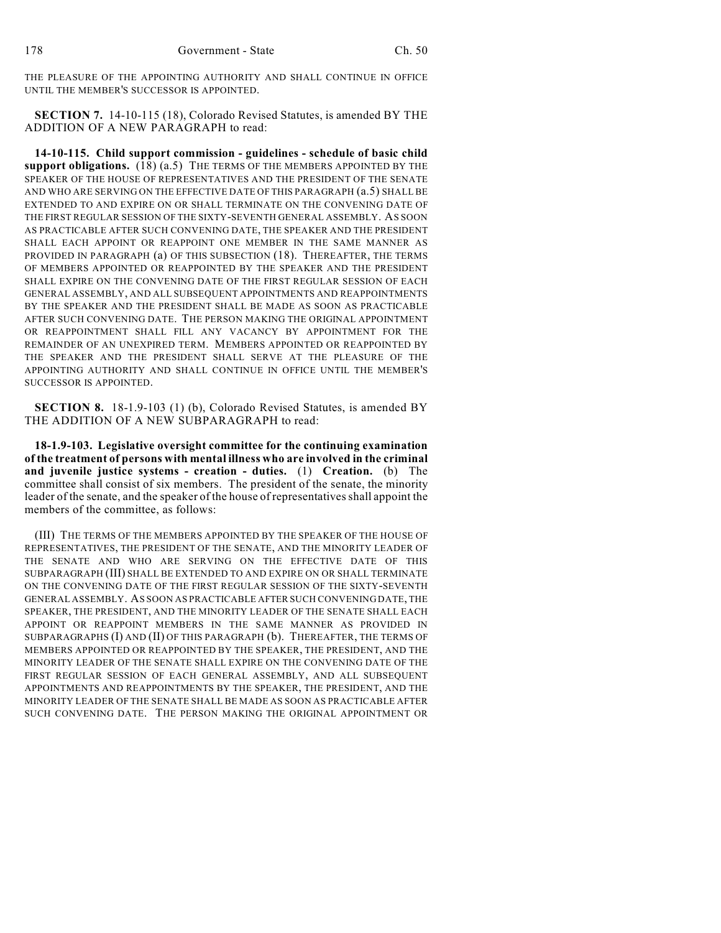THE PLEASURE OF THE APPOINTING AUTHORITY AND SHALL CONTINUE IN OFFICE UNTIL THE MEMBER'S SUCCESSOR IS APPOINTED.

**SECTION 7.** 14-10-115 (18), Colorado Revised Statutes, is amended BY THE ADDITION OF A NEW PARAGRAPH to read:

**14-10-115. Child support commission - guidelines - schedule of basic child support obligations.** (18) (a.5) THE TERMS OF THE MEMBERS APPOINTED BY THE SPEAKER OF THE HOUSE OF REPRESENTATIVES AND THE PRESIDENT OF THE SENATE AND WHO ARE SERVING ON THE EFFECTIVE DATE OF THIS PARAGRAPH (a.5) SHALL BE EXTENDED TO AND EXPIRE ON OR SHALL TERMINATE ON THE CONVENING DATE OF THE FIRST REGULAR SESSION OF THE SIXTY-SEVENTH GENERAL ASSEMBLY. AS SOON AS PRACTICABLE AFTER SUCH CONVENING DATE, THE SPEAKER AND THE PRESIDENT SHALL EACH APPOINT OR REAPPOINT ONE MEMBER IN THE SAME MANNER AS PROVIDED IN PARAGRAPH (a) OF THIS SUBSECTION (18). THEREAFTER, THE TERMS OF MEMBERS APPOINTED OR REAPPOINTED BY THE SPEAKER AND THE PRESIDENT SHALL EXPIRE ON THE CONVENING DATE OF THE FIRST REGULAR SESSION OF EACH GENERAL ASSEMBLY, AND ALL SUBSEQUENT APPOINTMENTS AND REAPPOINTMENTS BY THE SPEAKER AND THE PRESIDENT SHALL BE MADE AS SOON AS PRACTICABLE AFTER SUCH CONVENING DATE. THE PERSON MAKING THE ORIGINAL APPOINTMENT OR REAPPOINTMENT SHALL FILL ANY VACANCY BY APPOINTMENT FOR THE REMAINDER OF AN UNEXPIRED TERM. MEMBERS APPOINTED OR REAPPOINTED BY THE SPEAKER AND THE PRESIDENT SHALL SERVE AT THE PLEASURE OF THE APPOINTING AUTHORITY AND SHALL CONTINUE IN OFFICE UNTIL THE MEMBER'S SUCCESSOR IS APPOINTED.

**SECTION 8.** 18-1.9-103 (1) (b), Colorado Revised Statutes, is amended BY THE ADDITION OF A NEW SUBPARAGRAPH to read:

**18-1.9-103. Legislative oversight committee for the continuing examination of the treatment of persons with mental illness who are involved in the criminal and juvenile justice systems - creation - duties.** (1) **Creation.** (b) The committee shall consist of six members. The president of the senate, the minority leader of the senate, and the speaker of the house of representatives shall appoint the members of the committee, as follows:

(III) THE TERMS OF THE MEMBERS APPOINTED BY THE SPEAKER OF THE HOUSE OF REPRESENTATIVES, THE PRESIDENT OF THE SENATE, AND THE MINORITY LEADER OF THE SENATE AND WHO ARE SERVING ON THE EFFECTIVE DATE OF THIS SUBPARAGRAPH (III) SHALL BE EXTENDED TO AND EXPIRE ON OR SHALL TERMINATE ON THE CONVENING DATE OF THE FIRST REGULAR SESSION OF THE SIXTY-SEVENTH GENERAL ASSEMBLY. AS SOON AS PRACTICABLE AFTER SUCH CONVENING DATE, THE SPEAKER, THE PRESIDENT, AND THE MINORITY LEADER OF THE SENATE SHALL EACH APPOINT OR REAPPOINT MEMBERS IN THE SAME MANNER AS PROVIDED IN SUBPARAGRAPHS (I) AND (II) OF THIS PARAGRAPH (b). THEREAFTER, THE TERMS OF MEMBERS APPOINTED OR REAPPOINTED BY THE SPEAKER, THE PRESIDENT, AND THE MINORITY LEADER OF THE SENATE SHALL EXPIRE ON THE CONVENING DATE OF THE FIRST REGULAR SESSION OF EACH GENERAL ASSEMBLY, AND ALL SUBSEQUENT APPOINTMENTS AND REAPPOINTMENTS BY THE SPEAKER, THE PRESIDENT, AND THE MINORITY LEADER OF THE SENATE SHALL BE MADE AS SOON AS PRACTICABLE AFTER SUCH CONVENING DATE. THE PERSON MAKING THE ORIGINAL APPOINTMENT OR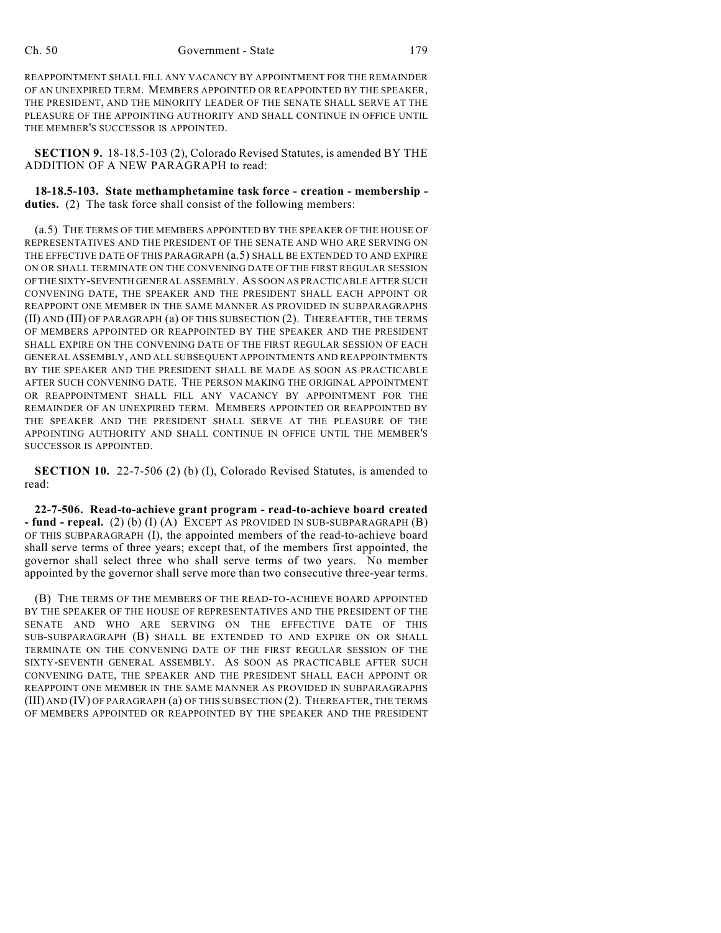REAPPOINTMENT SHALL FILL ANY VACANCY BY APPOINTMENT FOR THE REMAINDER OF AN UNEXPIRED TERM. MEMBERS APPOINTED OR REAPPOINTED BY THE SPEAKER, THE PRESIDENT, AND THE MINORITY LEADER OF THE SENATE SHALL SERVE AT THE PLEASURE OF THE APPOINTING AUTHORITY AND SHALL CONTINUE IN OFFICE UNTIL THE MEMBER'S SUCCESSOR IS APPOINTED.

**SECTION 9.** 18-18.5-103 (2), Colorado Revised Statutes, is amended BY THE ADDITION OF A NEW PARAGRAPH to read:

**18-18.5-103. State methamphetamine task force - creation - membership duties.** (2) The task force shall consist of the following members:

(a.5) THE TERMS OF THE MEMBERS APPOINTED BY THE SPEAKER OF THE HOUSE OF REPRESENTATIVES AND THE PRESIDENT OF THE SENATE AND WHO ARE SERVING ON THE EFFECTIVE DATE OF THIS PARAGRAPH (a.5) SHALL BE EXTENDED TO AND EXPIRE ON OR SHALL TERMINATE ON THE CONVENING DATE OF THE FIRST REGULAR SESSION OF THE SIXTY-SEVENTH GENERAL ASSEMBLY. AS SOON AS PRACTICABLE AFTER SUCH CONVENING DATE, THE SPEAKER AND THE PRESIDENT SHALL EACH APPOINT OR REAPPOINT ONE MEMBER IN THE SAME MANNER AS PROVIDED IN SUBPARAGRAPHS (II) AND (III) OF PARAGRAPH (a) OF THIS SUBSECTION (2). THEREAFTER, THE TERMS OF MEMBERS APPOINTED OR REAPPOINTED BY THE SPEAKER AND THE PRESIDENT SHALL EXPIRE ON THE CONVENING DATE OF THE FIRST REGULAR SESSION OF EACH GENERAL ASSEMBLY, AND ALL SUBSEQUENT APPOINTMENTS AND REAPPOINTMENTS BY THE SPEAKER AND THE PRESIDENT SHALL BE MADE AS SOON AS PRACTICABLE AFTER SUCH CONVENING DATE. THE PERSON MAKING THE ORIGINAL APPOINTMENT OR REAPPOINTMENT SHALL FILL ANY VACANCY BY APPOINTMENT FOR THE REMAINDER OF AN UNEXPIRED TERM. MEMBERS APPOINTED OR REAPPOINTED BY THE SPEAKER AND THE PRESIDENT SHALL SERVE AT THE PLEASURE OF THE APPOINTING AUTHORITY AND SHALL CONTINUE IN OFFICE UNTIL THE MEMBER'S SUCCESSOR IS APPOINTED.

**SECTION 10.** 22-7-506 (2) (b) (I), Colorado Revised Statutes, is amended to read:

**22-7-506. Read-to-achieve grant program - read-to-achieve board created - fund - repeal.** (2) (b) (I) (A) EXCEPT AS PROVIDED IN SUB-SUBPARAGRAPH (B) OF THIS SUBPARAGRAPH (I), the appointed members of the read-to-achieve board shall serve terms of three years; except that, of the members first appointed, the governor shall select three who shall serve terms of two years. No member appointed by the governor shall serve more than two consecutive three-year terms.

(B) THE TERMS OF THE MEMBERS OF THE READ-TO-ACHIEVE BOARD APPOINTED BY THE SPEAKER OF THE HOUSE OF REPRESENTATIVES AND THE PRESIDENT OF THE SENATE AND WHO ARE SERVING ON THE EFFECTIVE DATE OF THIS SUB-SUBPARAGRAPH (B) SHALL BE EXTENDED TO AND EXPIRE ON OR SHALL TERMINATE ON THE CONVENING DATE OF THE FIRST REGULAR SESSION OF THE SIXTY-SEVENTH GENERAL ASSEMBLY. AS SOON AS PRACTICABLE AFTER SUCH CONVENING DATE, THE SPEAKER AND THE PRESIDENT SHALL EACH APPOINT OR REAPPOINT ONE MEMBER IN THE SAME MANNER AS PROVIDED IN SUBPARAGRAPHS (III) AND (IV) OF PARAGRAPH (a) OF THIS SUBSECTION (2). THEREAFTER, THE TERMS OF MEMBERS APPOINTED OR REAPPOINTED BY THE SPEAKER AND THE PRESIDENT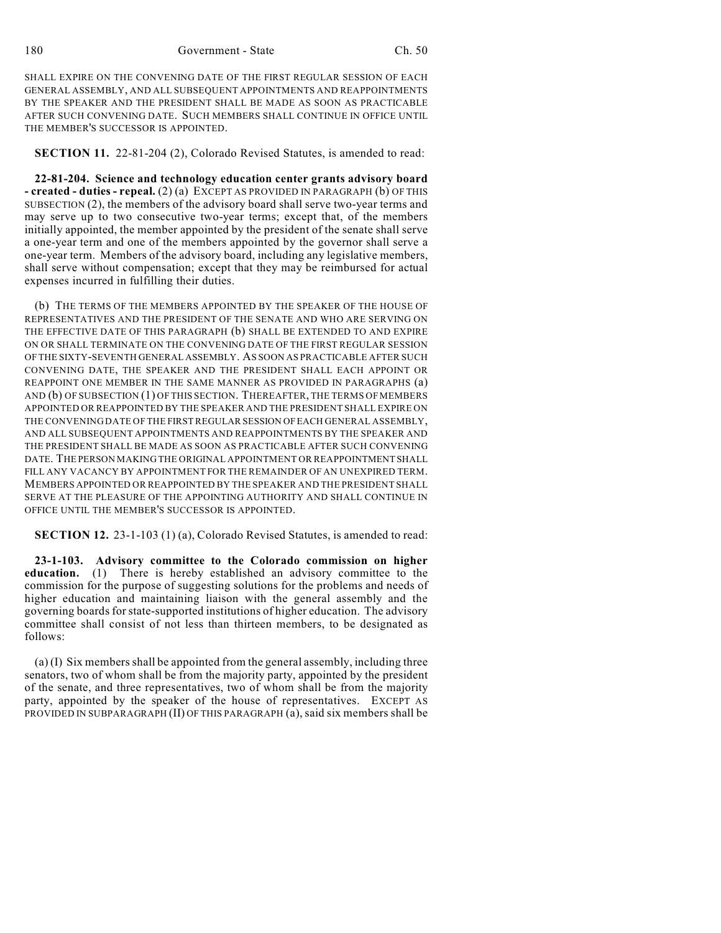180 Government - State Ch. 50

SHALL EXPIRE ON THE CONVENING DATE OF THE FIRST REGULAR SESSION OF EACH GENERAL ASSEMBLY, AND ALL SUBSEQUENT APPOINTMENTS AND REAPPOINTMENTS BY THE SPEAKER AND THE PRESIDENT SHALL BE MADE AS SOON AS PRACTICABLE AFTER SUCH CONVENING DATE. SUCH MEMBERS SHALL CONTINUE IN OFFICE UNTIL THE MEMBER'S SUCCESSOR IS APPOINTED.

**SECTION 11.** 22-81-204 (2), Colorado Revised Statutes, is amended to read:

**22-81-204. Science and technology education center grants advisory board - created - duties - repeal.** (2) (a) EXCEPT AS PROVIDED IN PARAGRAPH (b) OF THIS SUBSECTION (2), the members of the advisory board shall serve two-year terms and may serve up to two consecutive two-year terms; except that, of the members initially appointed, the member appointed by the president of the senate shall serve a one-year term and one of the members appointed by the governor shall serve a one-year term. Members of the advisory board, including any legislative members, shall serve without compensation; except that they may be reimbursed for actual expenses incurred in fulfilling their duties.

(b) THE TERMS OF THE MEMBERS APPOINTED BY THE SPEAKER OF THE HOUSE OF REPRESENTATIVES AND THE PRESIDENT OF THE SENATE AND WHO ARE SERVING ON THE EFFECTIVE DATE OF THIS PARAGRAPH (b) SHALL BE EXTENDED TO AND EXPIRE ON OR SHALL TERMINATE ON THE CONVENING DATE OF THE FIRST REGULAR SESSION OF THE SIXTY-SEVENTH GENERAL ASSEMBLY. AS SOON AS PRACTICABLE AFTER SUCH CONVENING DATE, THE SPEAKER AND THE PRESIDENT SHALL EACH APPOINT OR REAPPOINT ONE MEMBER IN THE SAME MANNER AS PROVIDED IN PARAGRAPHS (a) AND (b) OF SUBSECTION (1) OF THIS SECTION. THEREAFTER, THE TERMS OF MEMBERS APPOINTED OR REAPPOINTED BY THE SPEAKER AND THE PRESIDENT SHALL EXPIRE ON THE CONVENING DATE OF THE FIRST REGULAR SESSION OF EACH GENERAL ASSEMBLY, AND ALL SUBSEQUENT APPOINTMENTS AND REAPPOINTMENTS BY THE SPEAKER AND THE PRESIDENT SHALL BE MADE AS SOON AS PRACTICABLE AFTER SUCH CONVENING DATE. THE PERSON MAKING THE ORIGINAL APPOINTMENT OR REAPPOINTMENT SHALL FILL ANY VACANCY BY APPOINTMENT FOR THE REMAINDER OF AN UNEXPIRED TERM. MEMBERS APPOINTED OR REAPPOINTED BY THE SPEAKER AND THE PRESIDENT SHALL SERVE AT THE PLEASURE OF THE APPOINTING AUTHORITY AND SHALL CONTINUE IN OFFICE UNTIL THE MEMBER'S SUCCESSOR IS APPOINTED.

**SECTION 12.** 23-1-103 (1) (a), Colorado Revised Statutes, is amended to read:

**23-1-103. Advisory committee to the Colorado commission on higher education.** (1) There is hereby established an advisory committee to the commission for the purpose of suggesting solutions for the problems and needs of higher education and maintaining liaison with the general assembly and the governing boards for state-supported institutions of higher education. The advisory committee shall consist of not less than thirteen members, to be designated as follows:

(a) (I) Six members shall be appointed from the general assembly, including three senators, two of whom shall be from the majority party, appointed by the president of the senate, and three representatives, two of whom shall be from the majority party, appointed by the speaker of the house of representatives. EXCEPT AS PROVIDED IN SUBPARAGRAPH (II) OF THIS PARAGRAPH (a), said six members shall be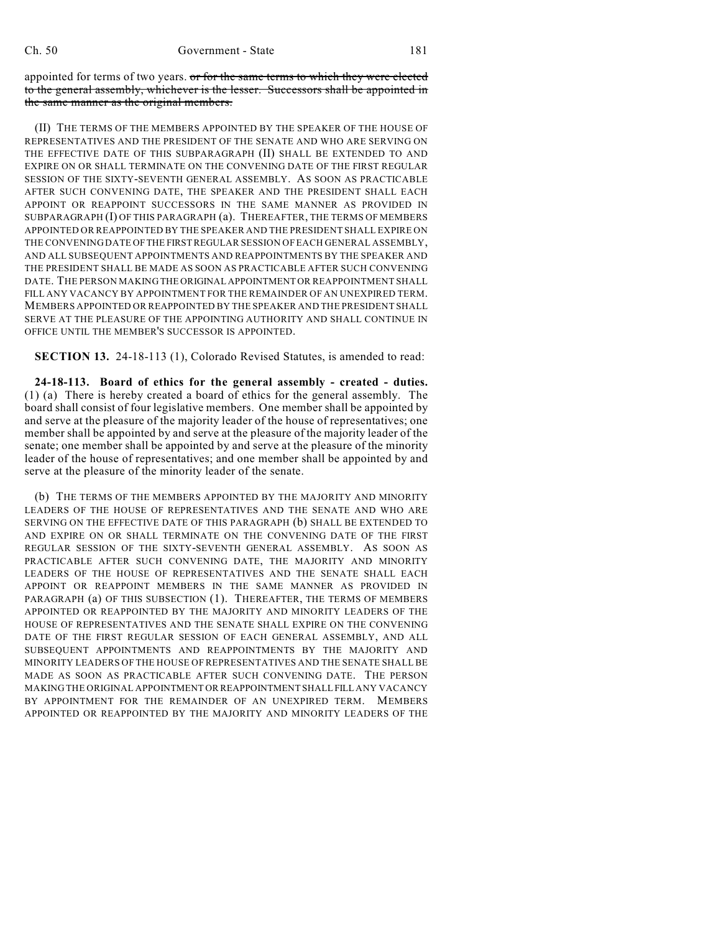appointed for terms of two years. or for the same terms to which they were elected to the general assembly, whichever is the lesser. Successors shall be appointed in the same manner as the original members.

(II) THE TERMS OF THE MEMBERS APPOINTED BY THE SPEAKER OF THE HOUSE OF REPRESENTATIVES AND THE PRESIDENT OF THE SENATE AND WHO ARE SERVING ON THE EFFECTIVE DATE OF THIS SUBPARAGRAPH (II) SHALL BE EXTENDED TO AND EXPIRE ON OR SHALL TERMINATE ON THE CONVENING DATE OF THE FIRST REGULAR SESSION OF THE SIXTY-SEVENTH GENERAL ASSEMBLY. AS SOON AS PRACTICABLE AFTER SUCH CONVENING DATE, THE SPEAKER AND THE PRESIDENT SHALL EACH APPOINT OR REAPPOINT SUCCESSORS IN THE SAME MANNER AS PROVIDED IN SUBPARAGRAPH (I) OF THIS PARAGRAPH (a). THEREAFTER, THE TERMS OF MEMBERS APPOINTED OR REAPPOINTED BY THE SPEAKER AND THE PRESIDENT SHALL EXPIRE ON THE CONVENING DATE OF THE FIRST REGULAR SESSION OF EACH GENERAL ASSEMBLY, AND ALL SUBSEQUENT APPOINTMENTS AND REAPPOINTMENTS BY THE SPEAKER AND THE PRESIDENT SHALL BE MADE AS SOON AS PRACTICABLE AFTER SUCH CONVENING DATE. THE PERSON MAKING THE ORIGINAL APPOINTMENT OR REAPPOINTMENT SHALL FILL ANY VACANCY BY APPOINTMENT FOR THE REMAINDER OF AN UNEXPIRED TERM. MEMBERS APPOINTED OR REAPPOINTED BY THE SPEAKER AND THE PRESIDENT SHALL SERVE AT THE PLEASURE OF THE APPOINTING AUTHORITY AND SHALL CONTINUE IN OFFICE UNTIL THE MEMBER'S SUCCESSOR IS APPOINTED.

**SECTION 13.** 24-18-113 (1), Colorado Revised Statutes, is amended to read:

**24-18-113. Board of ethics for the general assembly - created - duties.** (1) (a) There is hereby created a board of ethics for the general assembly. The board shall consist of four legislative members. One member shall be appointed by and serve at the pleasure of the majority leader of the house of representatives; one member shall be appointed by and serve at the pleasure of the majority leader of the senate; one member shall be appointed by and serve at the pleasure of the minority leader of the house of representatives; and one member shall be appointed by and serve at the pleasure of the minority leader of the senate.

(b) THE TERMS OF THE MEMBERS APPOINTED BY THE MAJORITY AND MINORITY LEADERS OF THE HOUSE OF REPRESENTATIVES AND THE SENATE AND WHO ARE SERVING ON THE EFFECTIVE DATE OF THIS PARAGRAPH (b) SHALL BE EXTENDED TO AND EXPIRE ON OR SHALL TERMINATE ON THE CONVENING DATE OF THE FIRST REGULAR SESSION OF THE SIXTY-SEVENTH GENERAL ASSEMBLY. AS SOON AS PRACTICABLE AFTER SUCH CONVENING DATE, THE MAJORITY AND MINORITY LEADERS OF THE HOUSE OF REPRESENTATIVES AND THE SENATE SHALL EACH APPOINT OR REAPPOINT MEMBERS IN THE SAME MANNER AS PROVIDED IN PARAGRAPH (a) OF THIS SUBSECTION (1). THEREAFTER, THE TERMS OF MEMBERS APPOINTED OR REAPPOINTED BY THE MAJORITY AND MINORITY LEADERS OF THE HOUSE OF REPRESENTATIVES AND THE SENATE SHALL EXPIRE ON THE CONVENING DATE OF THE FIRST REGULAR SESSION OF EACH GENERAL ASSEMBLY, AND ALL SUBSEQUENT APPOINTMENTS AND REAPPOINTMENTS BY THE MAJORITY AND MINORITY LEADERS OF THE HOUSE OF REPRESENTATIVES AND THE SENATE SHALL BE MADE AS SOON AS PRACTICABLE AFTER SUCH CONVENING DATE. THE PERSON MAKING THE ORIGINAL APPOINTMENT OR REAPPOINTMENT SHALL FILL ANY VACANCY BY APPOINTMENT FOR THE REMAINDER OF AN UNEXPIRED TERM. MEMBERS APPOINTED OR REAPPOINTED BY THE MAJORITY AND MINORITY LEADERS OF THE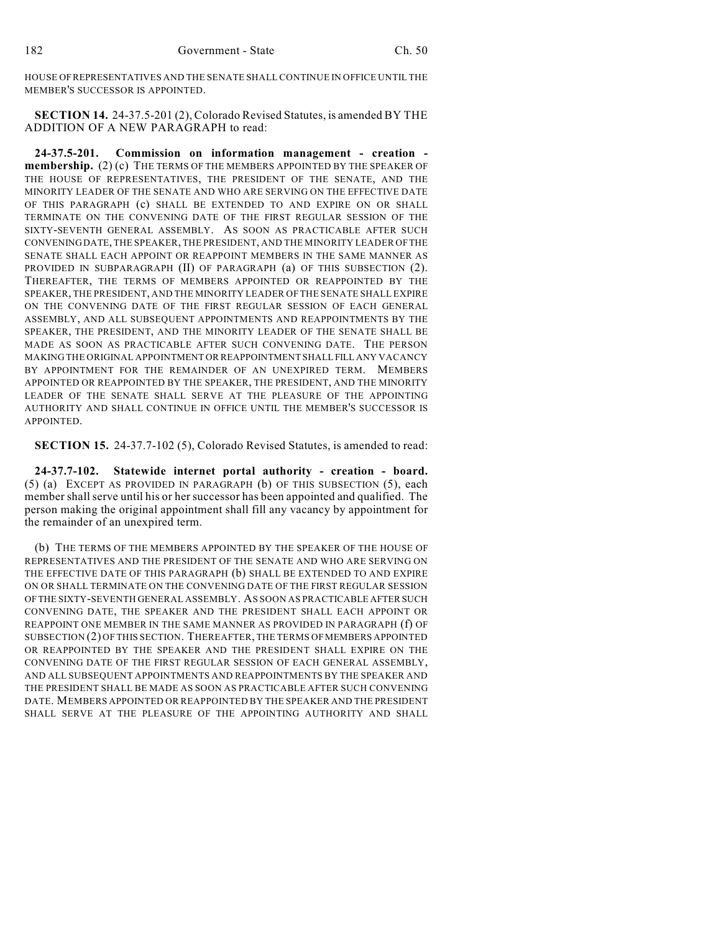HOUSE OF REPRESENTATIVES AND THE SENATE SHALL CONTINUE IN OFFICE UNTIL THE MEMBER'S SUCCESSOR IS APPOINTED.

**SECTION 14.** 24-37.5-201 (2), Colorado Revised Statutes, is amended BY THE ADDITION OF A NEW PARAGRAPH to read:

**24-37.5-201. Commission on information management - creation membership.** (2) (c) THE TERMS OF THE MEMBERS APPOINTED BY THE SPEAKER OF THE HOUSE OF REPRESENTATIVES, THE PRESIDENT OF THE SENATE, AND THE MINORITY LEADER OF THE SENATE AND WHO ARE SERVING ON THE EFFECTIVE DATE OF THIS PARAGRAPH (c) SHALL BE EXTENDED TO AND EXPIRE ON OR SHALL TERMINATE ON THE CONVENING DATE OF THE FIRST REGULAR SESSION OF THE SIXTY-SEVENTH GENERAL ASSEMBLY. AS SOON AS PRACTICABLE AFTER SUCH CONVENING DATE, THE SPEAKER, THE PRESIDENT, AND THE MINORITY LEADER OF THE SENATE SHALL EACH APPOINT OR REAPPOINT MEMBERS IN THE SAME MANNER AS PROVIDED IN SUBPARAGRAPH (II) OF PARAGRAPH (a) OF THIS SUBSECTION (2). THEREAFTER, THE TERMS OF MEMBERS APPOINTED OR REAPPOINTED BY THE SPEAKER, THE PRESIDENT, AND THE MINORITY LEADER OF THE SENATE SHALL EXPIRE ON THE CONVENING DATE OF THE FIRST REGULAR SESSION OF EACH GENERAL ASSEMBLY, AND ALL SUBSEQUENT APPOINTMENTS AND REAPPOINTMENTS BY THE SPEAKER, THE PRESIDENT, AND THE MINORITY LEADER OF THE SENATE SHALL BE MADE AS SOON AS PRACTICABLE AFTER SUCH CONVENING DATE. THE PERSON MAKING THE ORIGINAL APPOINTMENT OR REAPPOINTMENT SHALL FILL ANY VACANCY BY APPOINTMENT FOR THE REMAINDER OF AN UNEXPIRED TERM. MEMBERS APPOINTED OR REAPPOINTED BY THE SPEAKER, THE PRESIDENT, AND THE MINORITY LEADER OF THE SENATE SHALL SERVE AT THE PLEASURE OF THE APPOINTING AUTHORITY AND SHALL CONTINUE IN OFFICE UNTIL THE MEMBER'S SUCCESSOR IS APPOINTED.

**SECTION 15.** 24-37.7-102 (5), Colorado Revised Statutes, is amended to read:

**24-37.7-102. Statewide internet portal authority - creation - board.** (5) (a) EXCEPT AS PROVIDED IN PARAGRAPH (b) OF THIS SUBSECTION (5), each member shall serve until his or her successor has been appointed and qualified. The person making the original appointment shall fill any vacancy by appointment for the remainder of an unexpired term.

(b) THE TERMS OF THE MEMBERS APPOINTED BY THE SPEAKER OF THE HOUSE OF REPRESENTATIVES AND THE PRESIDENT OF THE SENATE AND WHO ARE SERVING ON THE EFFECTIVE DATE OF THIS PARAGRAPH (b) SHALL BE EXTENDED TO AND EXPIRE ON OR SHALL TERMINATE ON THE CONVENING DATE OF THE FIRST REGULAR SESSION OF THE SIXTY-SEVENTH GENERAL ASSEMBLY. AS SOON AS PRACTICABLE AFTER SUCH CONVENING DATE, THE SPEAKER AND THE PRESIDENT SHALL EACH APPOINT OR REAPPOINT ONE MEMBER IN THE SAME MANNER AS PROVIDED IN PARAGRAPH (f) OF SUBSECTION (2) OF THIS SECTION. THEREAFTER, THE TERMS OF MEMBERS APPOINTED OR REAPPOINTED BY THE SPEAKER AND THE PRESIDENT SHALL EXPIRE ON THE CONVENING DATE OF THE FIRST REGULAR SESSION OF EACH GENERAL ASSEMBLY, AND ALL SUBSEQUENT APPOINTMENTS AND REAPPOINTMENTS BY THE SPEAKER AND THE PRESIDENT SHALL BE MADE AS SOON AS PRACTICABLE AFTER SUCH CONVENING DATE. MEMBERS APPOINTED OR REAPPOINTED BY THE SPEAKER AND THE PRESIDENT SHALL SERVE AT THE PLEASURE OF THE APPOINTING AUTHORITY AND SHALL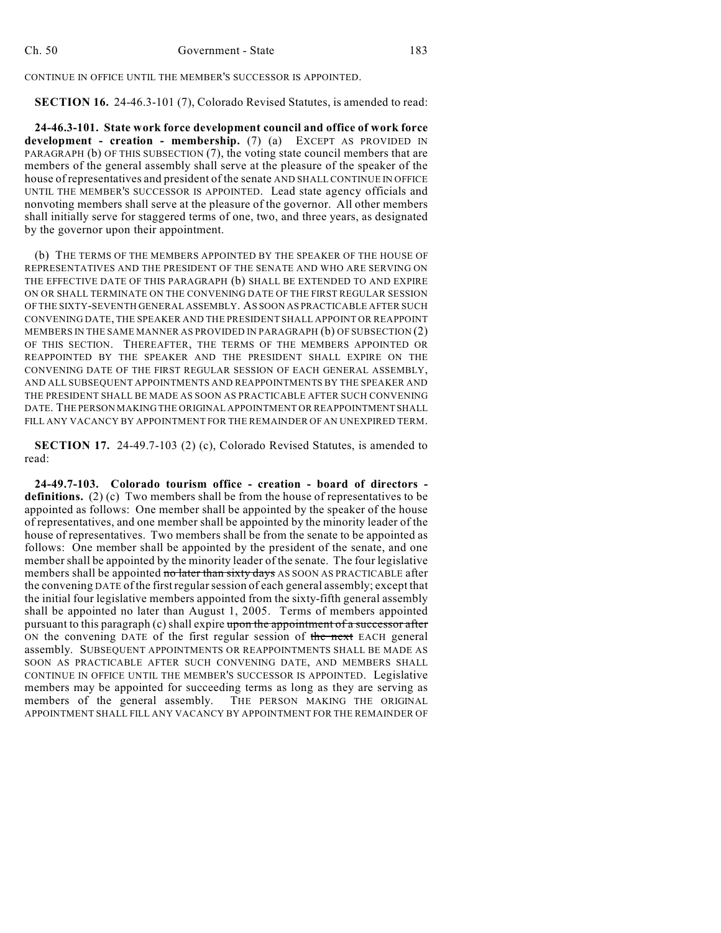CONTINUE IN OFFICE UNTIL THE MEMBER'S SUCCESSOR IS APPOINTED.

**SECTION 16.** 24-46.3-101 (7), Colorado Revised Statutes, is amended to read:

**24-46.3-101. State work force development council and office of work force development - creation - membership.** (7) (a) EXCEPT AS PROVIDED IN PARAGRAPH (b) OF THIS SUBSECTION (7), the voting state council members that are members of the general assembly shall serve at the pleasure of the speaker of the house of representatives and president of the senate AND SHALL CONTINUE IN OFFICE UNTIL THE MEMBER'S SUCCESSOR IS APPOINTED. Lead state agency officials and nonvoting members shall serve at the pleasure of the governor. All other members shall initially serve for staggered terms of one, two, and three years, as designated by the governor upon their appointment.

(b) THE TERMS OF THE MEMBERS APPOINTED BY THE SPEAKER OF THE HOUSE OF REPRESENTATIVES AND THE PRESIDENT OF THE SENATE AND WHO ARE SERVING ON THE EFFECTIVE DATE OF THIS PARAGRAPH (b) SHALL BE EXTENDED TO AND EXPIRE ON OR SHALL TERMINATE ON THE CONVENING DATE OF THE FIRST REGULAR SESSION OF THE SIXTY-SEVENTH GENERAL ASSEMBLY. AS SOON AS PRACTICABLE AFTER SUCH CONVENING DATE, THE SPEAKER AND THE PRESIDENT SHALL APPOINT OR REAPPOINT MEMBERS IN THE SAME MANNER AS PROVIDED IN PARAGRAPH (b) OF SUBSECTION (2) OF THIS SECTION. THEREAFTER, THE TERMS OF THE MEMBERS APPOINTED OR REAPPOINTED BY THE SPEAKER AND THE PRESIDENT SHALL EXPIRE ON THE CONVENING DATE OF THE FIRST REGULAR SESSION OF EACH GENERAL ASSEMBLY, AND ALL SUBSEQUENT APPOINTMENTS AND REAPPOINTMENTS BY THE SPEAKER AND THE PRESIDENT SHALL BE MADE AS SOON AS PRACTICABLE AFTER SUCH CONVENING DATE. THE PERSON MAKING THE ORIGINAL APPOINTMENT OR REAPPOINTMENT SHALL FILL ANY VACANCY BY APPOINTMENT FOR THE REMAINDER OF AN UNEXPIRED TERM.

**SECTION 17.** 24-49.7-103 (2) (c), Colorado Revised Statutes, is amended to read:

**24-49.7-103. Colorado tourism office - creation - board of directors definitions.** (2) (c) Two members shall be from the house of representatives to be appointed as follows: One member shall be appointed by the speaker of the house of representatives, and one member shall be appointed by the minority leader of the house of representatives. Two members shall be from the senate to be appointed as follows: One member shall be appointed by the president of the senate, and one member shall be appointed by the minority leader of the senate. The four legislative members shall be appointed no later than sixty days AS SOON AS PRACTICABLE after the convening DATE of the first regular session of each general assembly; except that the initial four legislative members appointed from the sixty-fifth general assembly shall be appointed no later than August 1, 2005. Terms of members appointed pursuant to this paragraph (c) shall expire upon the appointment of a successor after ON the convening DATE of the first regular session of the next EACH general assembly. SUBSEQUENT APPOINTMENTS OR REAPPOINTMENTS SHALL BE MADE AS SOON AS PRACTICABLE AFTER SUCH CONVENING DATE, AND MEMBERS SHALL CONTINUE IN OFFICE UNTIL THE MEMBER'S SUCCESSOR IS APPOINTED. Legislative members may be appointed for succeeding terms as long as they are serving as members of the general assembly. THE PERSON MAKING THE ORIGINAL APPOINTMENT SHALL FILL ANY VACANCY BY APPOINTMENT FOR THE REMAINDER OF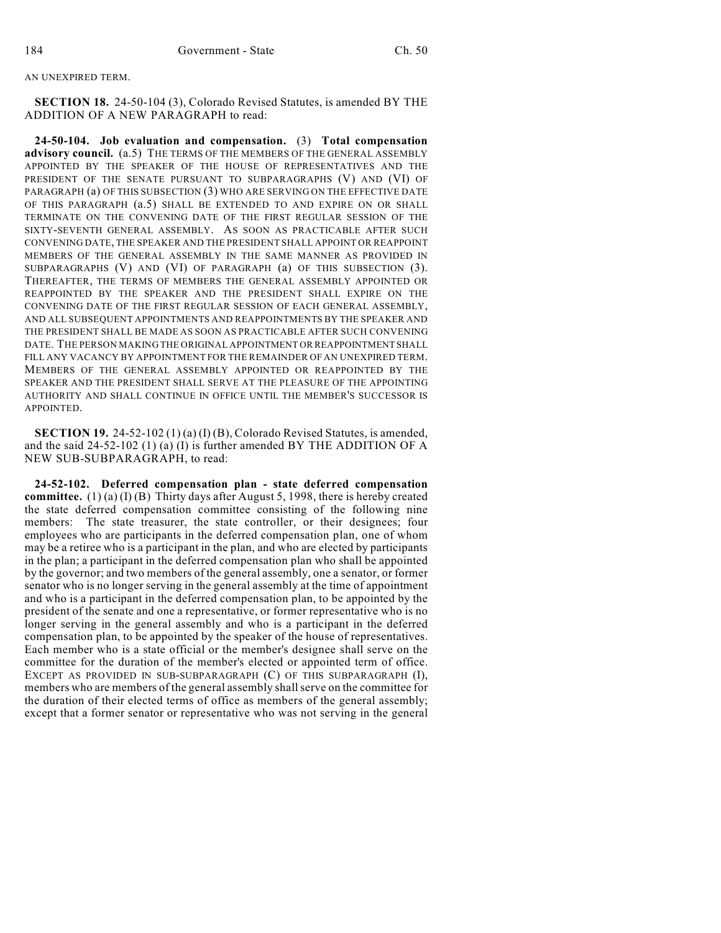AN UNEXPIRED TERM.

**SECTION 18.** 24-50-104 (3), Colorado Revised Statutes, is amended BY THE ADDITION OF A NEW PARAGRAPH to read:

**24-50-104. Job evaluation and compensation.** (3) **Total compensation advisory council.** (a.5) THE TERMS OF THE MEMBERS OF THE GENERAL ASSEMBLY APPOINTED BY THE SPEAKER OF THE HOUSE OF REPRESENTATIVES AND THE PRESIDENT OF THE SENATE PURSUANT TO SUBPARAGRAPHS (V) AND (VI) OF PARAGRAPH (a) OF THIS SUBSECTION (3) WHO ARE SERVING ON THE EFFECTIVE DATE OF THIS PARAGRAPH (a.5) SHALL BE EXTENDED TO AND EXPIRE ON OR SHALL TERMINATE ON THE CONVENING DATE OF THE FIRST REGULAR SESSION OF THE SIXTY-SEVENTH GENERAL ASSEMBLY. AS SOON AS PRACTICABLE AFTER SUCH CONVENING DATE, THE SPEAKER AND THE PRESIDENT SHALL APPOINT OR REAPPOINT MEMBERS OF THE GENERAL ASSEMBLY IN THE SAME MANNER AS PROVIDED IN SUBPARAGRAPHS (V) AND (VI) OF PARAGRAPH (a) OF THIS SUBSECTION (3). THEREAFTER, THE TERMS OF MEMBERS THE GENERAL ASSEMBLY APPOINTED OR REAPPOINTED BY THE SPEAKER AND THE PRESIDENT SHALL EXPIRE ON THE CONVENING DATE OF THE FIRST REGULAR SESSION OF EACH GENERAL ASSEMBLY, AND ALL SUBSEQUENT APPOINTMENTS AND REAPPOINTMENTS BY THE SPEAKER AND THE PRESIDENT SHALL BE MADE AS SOON AS PRACTICABLE AFTER SUCH CONVENING DATE. THE PERSON MAKING THE ORIGINAL APPOINTMENT OR REAPPOINTMENT SHALL FILL ANY VACANCY BY APPOINTMENT FOR THE REMAINDER OF AN UNEXPIRED TERM. MEMBERS OF THE GENERAL ASSEMBLY APPOINTED OR REAPPOINTED BY THE SPEAKER AND THE PRESIDENT SHALL SERVE AT THE PLEASURE OF THE APPOINTING AUTHORITY AND SHALL CONTINUE IN OFFICE UNTIL THE MEMBER'S SUCCESSOR IS APPOINTED.

**SECTION 19.** 24-52-102 (1) (a) (I) (B), Colorado Revised Statutes, is amended, and the said 24-52-102 (1) (a) (I) is further amended BY THE ADDITION OF A NEW SUB-SUBPARAGRAPH, to read:

**24-52-102. Deferred compensation plan - state deferred compensation committee.** (1) (a) (I) (B) Thirty days after August 5, 1998, there is hereby created the state deferred compensation committee consisting of the following nine members: The state treasurer, the state controller, or their designees; four employees who are participants in the deferred compensation plan, one of whom may be a retiree who is a participant in the plan, and who are elected by participants in the plan; a participant in the deferred compensation plan who shall be appointed by the governor; and two members of the general assembly, one a senator, or former senator who is no longer serving in the general assembly at the time of appointment and who is a participant in the deferred compensation plan, to be appointed by the president of the senate and one a representative, or former representative who is no longer serving in the general assembly and who is a participant in the deferred compensation plan, to be appointed by the speaker of the house of representatives. Each member who is a state official or the member's designee shall serve on the committee for the duration of the member's elected or appointed term of office. EXCEPT AS PROVIDED IN SUB-SUBPARAGRAPH (C) OF THIS SUBPARAGRAPH (I), members who are members of the general assembly shall serve on the committee for the duration of their elected terms of office as members of the general assembly; except that a former senator or representative who was not serving in the general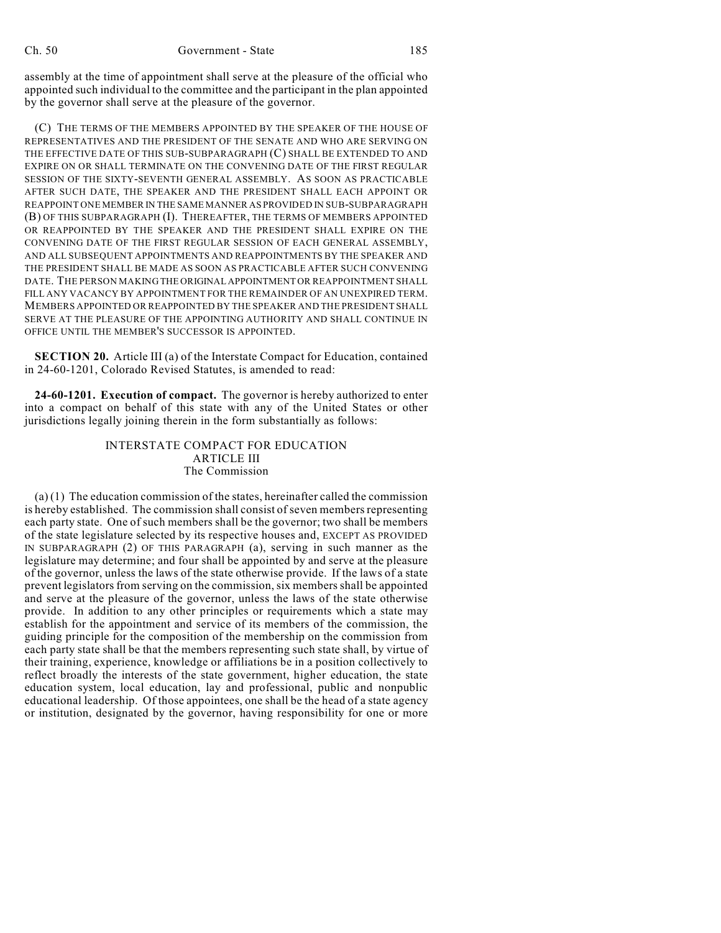assembly at the time of appointment shall serve at the pleasure of the official who appointed such individual to the committee and the participant in the plan appointed by the governor shall serve at the pleasure of the governor.

(C) THE TERMS OF THE MEMBERS APPOINTED BY THE SPEAKER OF THE HOUSE OF REPRESENTATIVES AND THE PRESIDENT OF THE SENATE AND WHO ARE SERVING ON THE EFFECTIVE DATE OF THIS SUB-SUBPARAGRAPH (C) SHALL BE EXTENDED TO AND EXPIRE ON OR SHALL TERMINATE ON THE CONVENING DATE OF THE FIRST REGULAR SESSION OF THE SIXTY-SEVENTH GENERAL ASSEMBLY. AS SOON AS PRACTICABLE AFTER SUCH DATE, THE SPEAKER AND THE PRESIDENT SHALL EACH APPOINT OR REAPPOINT ONE MEMBER IN THE SAME MANNER AS PROVIDED IN SUB-SUBPARAGRAPH (B) OF THIS SUBPARAGRAPH (I). THEREAFTER, THE TERMS OF MEMBERS APPOINTED OR REAPPOINTED BY THE SPEAKER AND THE PRESIDENT SHALL EXPIRE ON THE CONVENING DATE OF THE FIRST REGULAR SESSION OF EACH GENERAL ASSEMBLY, AND ALL SUBSEQUENT APPOINTMENTS AND REAPPOINTMENTS BY THE SPEAKER AND THE PRESIDENT SHALL BE MADE AS SOON AS PRACTICABLE AFTER SUCH CONVENING DATE. THE PERSON MAKING THE ORIGINAL APPOINTMENT OR REAPPOINTMENT SHALL FILL ANY VACANCY BY APPOINTMENT FOR THE REMAINDER OF AN UNEXPIRED TERM. MEMBERS APPOINTED OR REAPPOINTED BY THE SPEAKER AND THE PRESIDENT SHALL SERVE AT THE PLEASURE OF THE APPOINTING AUTHORITY AND SHALL CONTINUE IN OFFICE UNTIL THE MEMBER'S SUCCESSOR IS APPOINTED.

**SECTION 20.** Article III (a) of the Interstate Compact for Education, contained in 24-60-1201, Colorado Revised Statutes, is amended to read:

**24-60-1201. Execution of compact.** The governor is hereby authorized to enter into a compact on behalf of this state with any of the United States or other jurisdictions legally joining therein in the form substantially as follows:

## INTERSTATE COMPACT FOR EDUCATION ARTICLE III The Commission

 $(a)$  (1) The education commission of the states, hereinafter called the commission is hereby established. The commission shall consist of seven members representing each party state. One of such members shall be the governor; two shall be members of the state legislature selected by its respective houses and, EXCEPT AS PROVIDED IN SUBPARAGRAPH (2) OF THIS PARAGRAPH (a), serving in such manner as the legislature may determine; and four shall be appointed by and serve at the pleasure of the governor, unless the laws of the state otherwise provide. If the laws of a state prevent legislators from serving on the commission, six members shall be appointed and serve at the pleasure of the governor, unless the laws of the state otherwise provide. In addition to any other principles or requirements which a state may establish for the appointment and service of its members of the commission, the guiding principle for the composition of the membership on the commission from each party state shall be that the members representing such state shall, by virtue of their training, experience, knowledge or affiliations be in a position collectively to reflect broadly the interests of the state government, higher education, the state education system, local education, lay and professional, public and nonpublic educational leadership. Of those appointees, one shall be the head of a state agency or institution, designated by the governor, having responsibility for one or more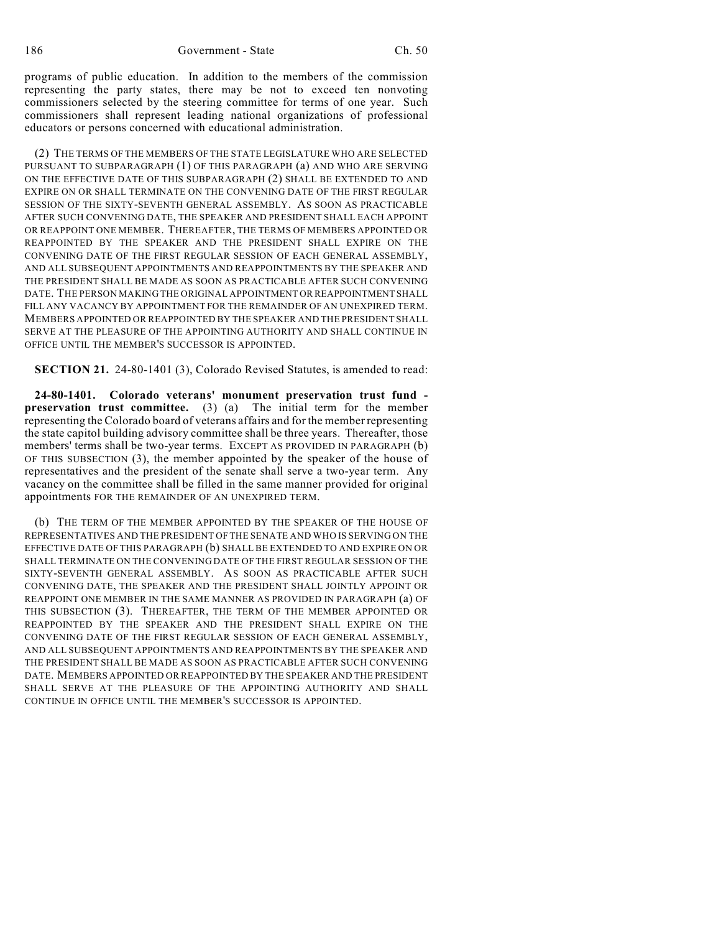programs of public education. In addition to the members of the commission representing the party states, there may be not to exceed ten nonvoting commissioners selected by the steering committee for terms of one year. Such commissioners shall represent leading national organizations of professional educators or persons concerned with educational administration.

(2) THE TERMS OF THE MEMBERS OF THE STATE LEGISLATURE WHO ARE SELECTED PURSUANT TO SUBPARAGRAPH (1) OF THIS PARAGRAPH (a) AND WHO ARE SERVING ON THE EFFECTIVE DATE OF THIS SUBPARAGRAPH (2) SHALL BE EXTENDED TO AND EXPIRE ON OR SHALL TERMINATE ON THE CONVENING DATE OF THE FIRST REGULAR SESSION OF THE SIXTY-SEVENTH GENERAL ASSEMBLY. AS SOON AS PRACTICABLE AFTER SUCH CONVENING DATE, THE SPEAKER AND PRESIDENT SHALL EACH APPOINT OR REAPPOINT ONE MEMBER. THEREAFTER, THE TERMS OF MEMBERS APPOINTED OR REAPPOINTED BY THE SPEAKER AND THE PRESIDENT SHALL EXPIRE ON THE CONVENING DATE OF THE FIRST REGULAR SESSION OF EACH GENERAL ASSEMBLY, AND ALL SUBSEQUENT APPOINTMENTS AND REAPPOINTMENTS BY THE SPEAKER AND THE PRESIDENT SHALL BE MADE AS SOON AS PRACTICABLE AFTER SUCH CONVENING DATE. THE PERSON MAKING THE ORIGINAL APPOINTMENT OR REAPPOINTMENT SHALL FILL ANY VACANCY BY APPOINTMENT FOR THE REMAINDER OF AN UNEXPIRED TERM. MEMBERS APPOINTED OR REAPPOINTED BY THE SPEAKER AND THE PRESIDENT SHALL SERVE AT THE PLEASURE OF THE APPOINTING AUTHORITY AND SHALL CONTINUE IN OFFICE UNTIL THE MEMBER'S SUCCESSOR IS APPOINTED.

**SECTION 21.** 24-80-1401 (3), Colorado Revised Statutes, is amended to read:

**24-80-1401. Colorado veterans' monument preservation trust fund preservation trust committee.** (3) (a) The initial term for the member representing the Colorado board of veterans affairs and for the member representing the state capitol building advisory committee shall be three years. Thereafter, those members' terms shall be two-year terms. EXCEPT AS PROVIDED IN PARAGRAPH (b) OF THIS SUBSECTION (3), the member appointed by the speaker of the house of representatives and the president of the senate shall serve a two-year term. Any vacancy on the committee shall be filled in the same manner provided for original appointments FOR THE REMAINDER OF AN UNEXPIRED TERM.

(b) THE TERM OF THE MEMBER APPOINTED BY THE SPEAKER OF THE HOUSE OF REPRESENTATIVES AND THE PRESIDENT OF THE SENATE AND WHO IS SERVING ON THE EFFECTIVE DATE OF THIS PARAGRAPH (b) SHALL BE EXTENDED TO AND EXPIRE ON OR SHALL TERMINATE ON THE CONVENING DATE OF THE FIRST REGULAR SESSION OF THE SIXTY-SEVENTH GENERAL ASSEMBLY. AS SOON AS PRACTICABLE AFTER SUCH CONVENING DATE, THE SPEAKER AND THE PRESIDENT SHALL JOINTLY APPOINT OR REAPPOINT ONE MEMBER IN THE SAME MANNER AS PROVIDED IN PARAGRAPH (a) OF THIS SUBSECTION (3). THEREAFTER, THE TERM OF THE MEMBER APPOINTED OR REAPPOINTED BY THE SPEAKER AND THE PRESIDENT SHALL EXPIRE ON THE CONVENING DATE OF THE FIRST REGULAR SESSION OF EACH GENERAL ASSEMBLY, AND ALL SUBSEQUENT APPOINTMENTS AND REAPPOINTMENTS BY THE SPEAKER AND THE PRESIDENT SHALL BE MADE AS SOON AS PRACTICABLE AFTER SUCH CONVENING DATE. MEMBERS APPOINTED OR REAPPOINTED BY THE SPEAKER AND THE PRESIDENT SHALL SERVE AT THE PLEASURE OF THE APPOINTING AUTHORITY AND SHALL CONTINUE IN OFFICE UNTIL THE MEMBER'S SUCCESSOR IS APPOINTED.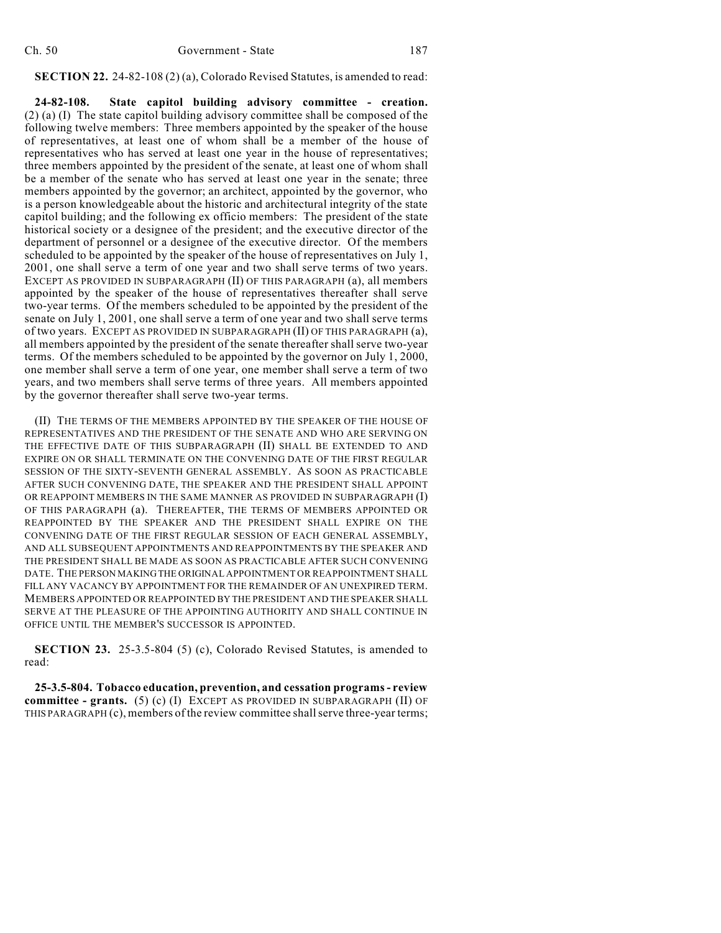**SECTION 22.** 24-82-108 (2) (a), Colorado Revised Statutes, is amended to read:

**24-82-108. State capitol building advisory committee - creation.** (2) (a) (I) The state capitol building advisory committee shall be composed of the following twelve members: Three members appointed by the speaker of the house of representatives, at least one of whom shall be a member of the house of representatives who has served at least one year in the house of representatives; three members appointed by the president of the senate, at least one of whom shall be a member of the senate who has served at least one year in the senate; three members appointed by the governor; an architect, appointed by the governor, who is a person knowledgeable about the historic and architectural integrity of the state capitol building; and the following ex officio members: The president of the state historical society or a designee of the president; and the executive director of the department of personnel or a designee of the executive director. Of the members scheduled to be appointed by the speaker of the house of representatives on July 1, 2001, one shall serve a term of one year and two shall serve terms of two years. EXCEPT AS PROVIDED IN SUBPARAGRAPH (II) OF THIS PARAGRAPH (a), all members appointed by the speaker of the house of representatives thereafter shall serve two-year terms. Of the members scheduled to be appointed by the president of the senate on July 1, 2001, one shall serve a term of one year and two shall serve terms of two years. EXCEPT AS PROVIDED IN SUBPARAGRAPH (II) OF THIS PARAGRAPH (a), all members appointed by the president of the senate thereafter shall serve two-year terms. Of the members scheduled to be appointed by the governor on July 1, 2000, one member shall serve a term of one year, one member shall serve a term of two years, and two members shall serve terms of three years. All members appointed by the governor thereafter shall serve two-year terms.

(II) THE TERMS OF THE MEMBERS APPOINTED BY THE SPEAKER OF THE HOUSE OF REPRESENTATIVES AND THE PRESIDENT OF THE SENATE AND WHO ARE SERVING ON THE EFFECTIVE DATE OF THIS SUBPARAGRAPH (II) SHALL BE EXTENDED TO AND EXPIRE ON OR SHALL TERMINATE ON THE CONVENING DATE OF THE FIRST REGULAR SESSION OF THE SIXTY-SEVENTH GENERAL ASSEMBLY. AS SOON AS PRACTICABLE AFTER SUCH CONVENING DATE, THE SPEAKER AND THE PRESIDENT SHALL APPOINT OR REAPPOINT MEMBERS IN THE SAME MANNER AS PROVIDED IN SUBPARAGRAPH (I) OF THIS PARAGRAPH (a). THEREAFTER, THE TERMS OF MEMBERS APPOINTED OR REAPPOINTED BY THE SPEAKER AND THE PRESIDENT SHALL EXPIRE ON THE CONVENING DATE OF THE FIRST REGULAR SESSION OF EACH GENERAL ASSEMBLY, AND ALL SUBSEQUENT APPOINTMENTS AND REAPPOINTMENTS BY THE SPEAKER AND THE PRESIDENT SHALL BE MADE AS SOON AS PRACTICABLE AFTER SUCH CONVENING DATE. THE PERSON MAKING THE ORIGINAL APPOINTMENT OR REAPPOINTMENT SHALL FILL ANY VACANCY BY APPOINTMENT FOR THE REMAINDER OF AN UNEXPIRED TERM. MEMBERS APPOINTED OR REAPPOINTED BY THE PRESIDENT AND THE SPEAKER SHALL SERVE AT THE PLEASURE OF THE APPOINTING AUTHORITY AND SHALL CONTINUE IN OFFICE UNTIL THE MEMBER'S SUCCESSOR IS APPOINTED.

**SECTION 23.** 25-3.5-804 (5) (c), Colorado Revised Statutes, is amended to read:

**25-3.5-804. Tobacco education, prevention, and cessation programs - review committee - grants.** (5) (c) (I) EXCEPT AS PROVIDED IN SUBPARAGRAPH (II) OF THIS PARAGRAPH (c), members of the review committee shall serve three-year terms;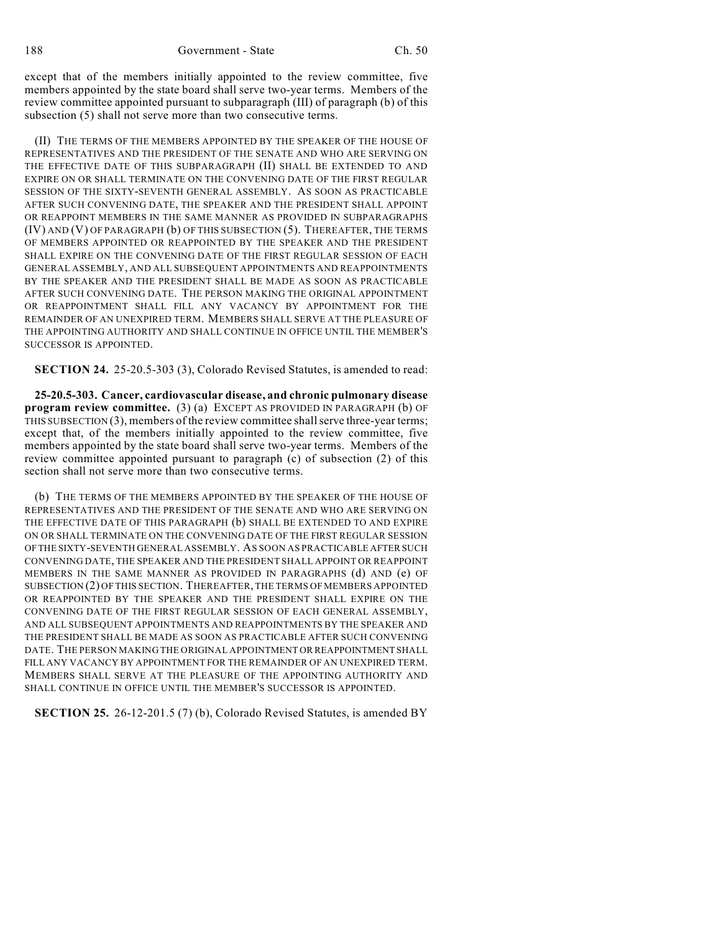except that of the members initially appointed to the review committee, five members appointed by the state board shall serve two-year terms. Members of the review committee appointed pursuant to subparagraph (III) of paragraph (b) of this subsection (5) shall not serve more than two consecutive terms.

(II) THE TERMS OF THE MEMBERS APPOINTED BY THE SPEAKER OF THE HOUSE OF REPRESENTATIVES AND THE PRESIDENT OF THE SENATE AND WHO ARE SERVING ON THE EFFECTIVE DATE OF THIS SUBPARAGRAPH (II) SHALL BE EXTENDED TO AND EXPIRE ON OR SHALL TERMINATE ON THE CONVENING DATE OF THE FIRST REGULAR SESSION OF THE SIXTY-SEVENTH GENERAL ASSEMBLY. AS SOON AS PRACTICABLE AFTER SUCH CONVENING DATE, THE SPEAKER AND THE PRESIDENT SHALL APPOINT OR REAPPOINT MEMBERS IN THE SAME MANNER AS PROVIDED IN SUBPARAGRAPHS (IV) AND (V) OF PARAGRAPH (b) OF THIS SUBSECTION (5). THEREAFTER, THE TERMS OF MEMBERS APPOINTED OR REAPPOINTED BY THE SPEAKER AND THE PRESIDENT SHALL EXPIRE ON THE CONVENING DATE OF THE FIRST REGULAR SESSION OF EACH GENERAL ASSEMBLY, AND ALL SUBSEQUENT APPOINTMENTS AND REAPPOINTMENTS BY THE SPEAKER AND THE PRESIDENT SHALL BE MADE AS SOON AS PRACTICABLE AFTER SUCH CONVENING DATE. THE PERSON MAKING THE ORIGINAL APPOINTMENT OR REAPPOINTMENT SHALL FILL ANY VACANCY BY APPOINTMENT FOR THE REMAINDER OF AN UNEXPIRED TERM. MEMBERS SHALL SERVE AT THE PLEASURE OF THE APPOINTING AUTHORITY AND SHALL CONTINUE IN OFFICE UNTIL THE MEMBER'S SUCCESSOR IS APPOINTED.

**SECTION 24.** 25-20.5-303 (3), Colorado Revised Statutes, is amended to read:

**25-20.5-303. Cancer, cardiovascular disease, and chronic pulmonary disease program review committee.** (3) (a) EXCEPT AS PROVIDED IN PARAGRAPH (b) OF THIS SUBSECTION (3), members of the review committee shall serve three-year terms; except that, of the members initially appointed to the review committee, five members appointed by the state board shall serve two-year terms. Members of the review committee appointed pursuant to paragraph (c) of subsection (2) of this section shall not serve more than two consecutive terms.

(b) THE TERMS OF THE MEMBERS APPOINTED BY THE SPEAKER OF THE HOUSE OF REPRESENTATIVES AND THE PRESIDENT OF THE SENATE AND WHO ARE SERVING ON THE EFFECTIVE DATE OF THIS PARAGRAPH (b) SHALL BE EXTENDED TO AND EXPIRE ON OR SHALL TERMINATE ON THE CONVENING DATE OF THE FIRST REGULAR SESSION OF THE SIXTY-SEVENTH GENERAL ASSEMBLY. AS SOON AS PRACTICABLE AFTER SUCH CONVENING DATE, THE SPEAKER AND THE PRESIDENT SHALL APPOINT OR REAPPOINT MEMBERS IN THE SAME MANNER AS PROVIDED IN PARAGRAPHS (d) AND (e) OF SUBSECTION (2) OF THIS SECTION. THEREAFTER, THE TERMS OF MEMBERS APPOINTED OR REAPPOINTED BY THE SPEAKER AND THE PRESIDENT SHALL EXPIRE ON THE CONVENING DATE OF THE FIRST REGULAR SESSION OF EACH GENERAL ASSEMBLY, AND ALL SUBSEQUENT APPOINTMENTS AND REAPPOINTMENTS BY THE SPEAKER AND THE PRESIDENT SHALL BE MADE AS SOON AS PRACTICABLE AFTER SUCH CONVENING DATE. THE PERSON MAKING THE ORIGINAL APPOINTMENT OR REAPPOINTMENT SHALL FILL ANY VACANCY BY APPOINTMENT FOR THE REMAINDER OF AN UNEXPIRED TERM. MEMBERS SHALL SERVE AT THE PLEASURE OF THE APPOINTING AUTHORITY AND SHALL CONTINUE IN OFFICE UNTIL THE MEMBER'S SUCCESSOR IS APPOINTED.

**SECTION 25.** 26-12-201.5 (7) (b), Colorado Revised Statutes, is amended BY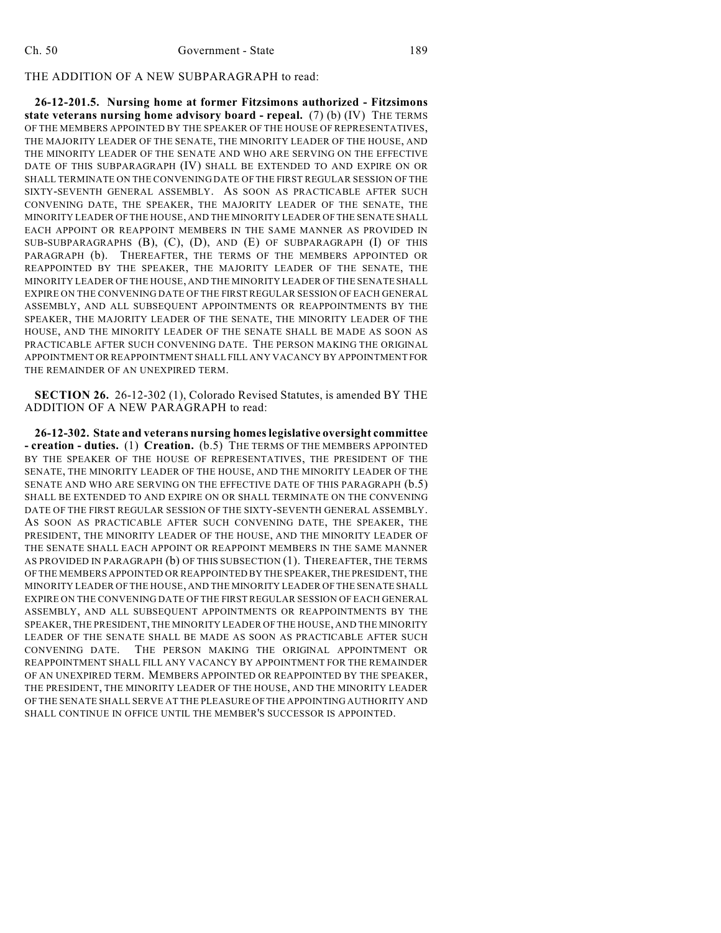### THE ADDITION OF A NEW SUBPARAGRAPH to read:

**26-12-201.5. Nursing home at former Fitzsimons authorized - Fitzsimons state veterans nursing home advisory board - repeal.** (7) (b) (IV) THE TERMS OF THE MEMBERS APPOINTED BY THE SPEAKER OF THE HOUSE OF REPRESENTATIVES, THE MAJORITY LEADER OF THE SENATE, THE MINORITY LEADER OF THE HOUSE, AND THE MINORITY LEADER OF THE SENATE AND WHO ARE SERVING ON THE EFFECTIVE DATE OF THIS SUBPARAGRAPH (IV) SHALL BE EXTENDED TO AND EXPIRE ON OR SHALL TERMINATE ON THE CONVENING DATE OF THE FIRST REGULAR SESSION OF THE SIXTY-SEVENTH GENERAL ASSEMBLY. AS SOON AS PRACTICABLE AFTER SUCH CONVENING DATE, THE SPEAKER, THE MAJORITY LEADER OF THE SENATE, THE MINORITY LEADER OF THE HOUSE, AND THE MINORITY LEADER OF THE SENATE SHALL EACH APPOINT OR REAPPOINT MEMBERS IN THE SAME MANNER AS PROVIDED IN SUB-SUBPARAGRAPHS (B), (C), (D), AND (E) OF SUBPARAGRAPH (I) OF THIS PARAGRAPH (b). THEREAFTER, THE TERMS OF THE MEMBERS APPOINTED OR REAPPOINTED BY THE SPEAKER, THE MAJORITY LEADER OF THE SENATE, THE MINORITY LEADER OF THE HOUSE, AND THE MINORITY LEADER OF THE SENATE SHALL EXPIRE ON THE CONVENING DATE OF THE FIRST REGULAR SESSION OF EACH GENERAL ASSEMBLY, AND ALL SUBSEQUENT APPOINTMENTS OR REAPPOINTMENTS BY THE SPEAKER, THE MAJORITY LEADER OF THE SENATE, THE MINORITY LEADER OF THE HOUSE, AND THE MINORITY LEADER OF THE SENATE SHALL BE MADE AS SOON AS PRACTICABLE AFTER SUCH CONVENING DATE. THE PERSON MAKING THE ORIGINAL APPOINTMENT OR REAPPOINTMENT SHALL FILL ANY VACANCY BY APPOINTMENT FOR THE REMAINDER OF AN UNEXPIRED TERM.

**SECTION 26.** 26-12-302 (1), Colorado Revised Statutes, is amended BY THE ADDITION OF A NEW PARAGRAPH to read:

**26-12-302. State and veterans nursing homes legislative oversight committee - creation - duties.** (1) **Creation.** (b.5) THE TERMS OF THE MEMBERS APPOINTED BY THE SPEAKER OF THE HOUSE OF REPRESENTATIVES, THE PRESIDENT OF THE SENATE, THE MINORITY LEADER OF THE HOUSE, AND THE MINORITY LEADER OF THE SENATE AND WHO ARE SERVING ON THE EFFECTIVE DATE OF THIS PARAGRAPH (b.5) SHALL BE EXTENDED TO AND EXPIRE ON OR SHALL TERMINATE ON THE CONVENING DATE OF THE FIRST REGULAR SESSION OF THE SIXTY-SEVENTH GENERAL ASSEMBLY. AS SOON AS PRACTICABLE AFTER SUCH CONVENING DATE, THE SPEAKER, THE PRESIDENT, THE MINORITY LEADER OF THE HOUSE, AND THE MINORITY LEADER OF THE SENATE SHALL EACH APPOINT OR REAPPOINT MEMBERS IN THE SAME MANNER AS PROVIDED IN PARAGRAPH (b) OF THIS SUBSECTION (1). THEREAFTER, THE TERMS OF THE MEMBERS APPOINTED OR REAPPOINTED BY THE SPEAKER, THE PRESIDENT, THE MINORITY LEADER OF THE HOUSE, AND THE MINORITY LEADER OF THE SENATE SHALL EXPIRE ON THE CONVENING DATE OF THE FIRST REGULAR SESSION OF EACH GENERAL ASSEMBLY, AND ALL SUBSEQUENT APPOINTMENTS OR REAPPOINTMENTS BY THE SPEAKER, THE PRESIDENT, THE MINORITY LEADER OF THE HOUSE, AND THE MINORITY LEADER OF THE SENATE SHALL BE MADE AS SOON AS PRACTICABLE AFTER SUCH CONVENING DATE. THE PERSON MAKING THE ORIGINAL APPOINTMENT OR REAPPOINTMENT SHALL FILL ANY VACANCY BY APPOINTMENT FOR THE REMAINDER OF AN UNEXPIRED TERM. MEMBERS APPOINTED OR REAPPOINTED BY THE SPEAKER, THE PRESIDENT, THE MINORITY LEADER OF THE HOUSE, AND THE MINORITY LEADER OF THE SENATE SHALL SERVE AT THE PLEASURE OFTHE APPOINTING AUTHORITY AND SHALL CONTINUE IN OFFICE UNTIL THE MEMBER'S SUCCESSOR IS APPOINTED.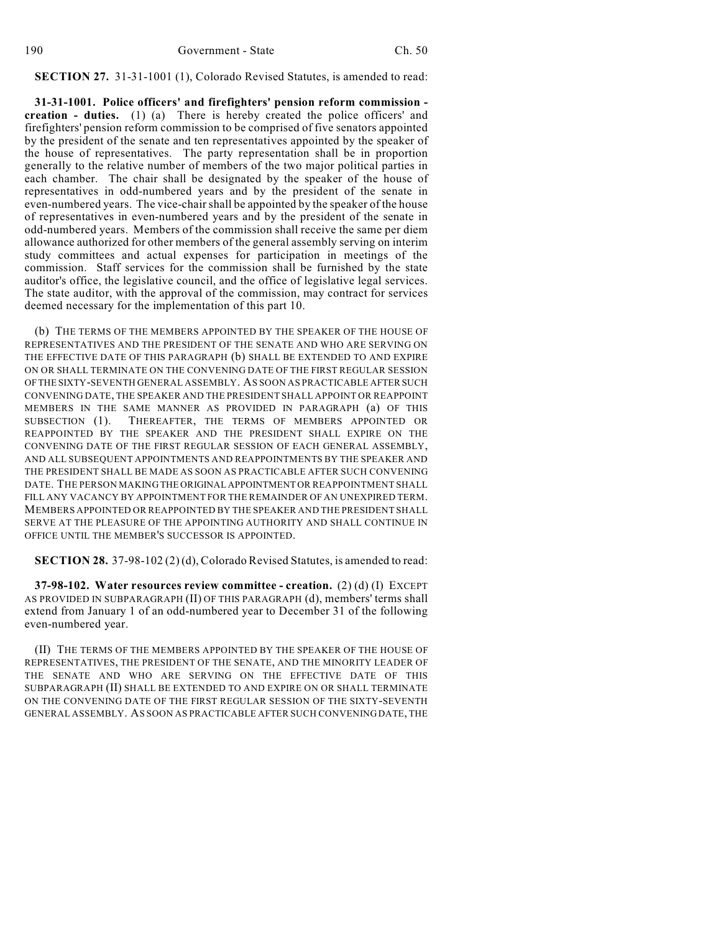**SECTION 27.** 31-31-1001 (1), Colorado Revised Statutes, is amended to read:

**31-31-1001. Police officers' and firefighters' pension reform commission creation - duties.** (1) (a) There is hereby created the police officers' and firefighters' pension reform commission to be comprised of five senators appointed by the president of the senate and ten representatives appointed by the speaker of the house of representatives. The party representation shall be in proportion generally to the relative number of members of the two major political parties in each chamber. The chair shall be designated by the speaker of the house of representatives in odd-numbered years and by the president of the senate in even-numbered years. The vice-chair shall be appointed by the speaker of the house of representatives in even-numbered years and by the president of the senate in odd-numbered years. Members of the commission shall receive the same per diem allowance authorized for other members of the general assembly serving on interim study committees and actual expenses for participation in meetings of the commission. Staff services for the commission shall be furnished by the state auditor's office, the legislative council, and the office of legislative legal services. The state auditor, with the approval of the commission, may contract for services deemed necessary for the implementation of this part 10.

(b) THE TERMS OF THE MEMBERS APPOINTED BY THE SPEAKER OF THE HOUSE OF REPRESENTATIVES AND THE PRESIDENT OF THE SENATE AND WHO ARE SERVING ON THE EFFECTIVE DATE OF THIS PARAGRAPH (b) SHALL BE EXTENDED TO AND EXPIRE ON OR SHALL TERMINATE ON THE CONVENING DATE OF THE FIRST REGULAR SESSION OF THE SIXTY-SEVENTH GENERAL ASSEMBLY. AS SOON AS PRACTICABLE AFTER SUCH CONVENING DATE, THE SPEAKER AND THE PRESIDENT SHALL APPOINT OR REAPPOINT MEMBERS IN THE SAME MANNER AS PROVIDED IN PARAGRAPH (a) OF THIS SUBSECTION (1). THEREAFTER, THE TERMS OF MEMBERS APPOINTED OR REAPPOINTED BY THE SPEAKER AND THE PRESIDENT SHALL EXPIRE ON THE CONVENING DATE OF THE FIRST REGULAR SESSION OF EACH GENERAL ASSEMBLY, AND ALL SUBSEQUENT APPOINTMENTS AND REAPPOINTMENTS BY THE SPEAKER AND THE PRESIDENT SHALL BE MADE AS SOON AS PRACTICABLE AFTER SUCH CONVENING DATE. THE PERSON MAKING THE ORIGINAL APPOINTMENT OR REAPPOINTMENT SHALL FILL ANY VACANCY BY APPOINTMENT FOR THE REMAINDER OF AN UNEXPIRED TERM. MEMBERS APPOINTED OR REAPPOINTED BY THE SPEAKER AND THE PRESIDENT SHALL SERVE AT THE PLEASURE OF THE APPOINTING AUTHORITY AND SHALL CONTINUE IN OFFICE UNTIL THE MEMBER'S SUCCESSOR IS APPOINTED.

**SECTION 28.** 37-98-102 (2) (d), Colorado Revised Statutes, is amended to read:

**37-98-102. Water resources review committee - creation.** (2) (d) (I) EXCEPT AS PROVIDED IN SUBPARAGRAPH (II) OF THIS PARAGRAPH (d), members' terms shall extend from January 1 of an odd-numbered year to December 31 of the following even-numbered year.

(II) THE TERMS OF THE MEMBERS APPOINTED BY THE SPEAKER OF THE HOUSE OF REPRESENTATIVES, THE PRESIDENT OF THE SENATE, AND THE MINORITY LEADER OF THE SENATE AND WHO ARE SERVING ON THE EFFECTIVE DATE OF THIS SUBPARAGRAPH (II) SHALL BE EXTENDED TO AND EXPIRE ON OR SHALL TERMINATE ON THE CONVENING DATE OF THE FIRST REGULAR SESSION OF THE SIXTY-SEVENTH GENERAL ASSEMBLY. AS SOON AS PRACTICABLE AFTER SUCH CONVENING DATE, THE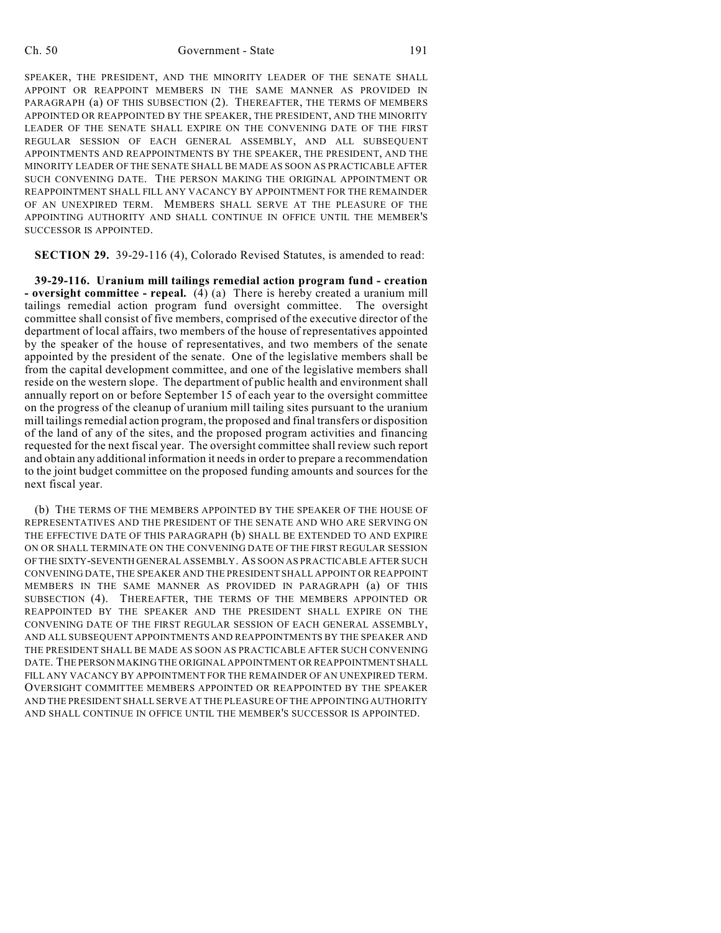SPEAKER, THE PRESIDENT, AND THE MINORITY LEADER OF THE SENATE SHALL APPOINT OR REAPPOINT MEMBERS IN THE SAME MANNER AS PROVIDED IN PARAGRAPH (a) OF THIS SUBSECTION (2). THEREAFTER, THE TERMS OF MEMBERS APPOINTED OR REAPPOINTED BY THE SPEAKER, THE PRESIDENT, AND THE MINORITY LEADER OF THE SENATE SHALL EXPIRE ON THE CONVENING DATE OF THE FIRST REGULAR SESSION OF EACH GENERAL ASSEMBLY, AND ALL SUBSEQUENT APPOINTMENTS AND REAPPOINTMENTS BY THE SPEAKER, THE PRESIDENT, AND THE MINORITY LEADER OF THE SENATE SHALL BE MADE AS SOON AS PRACTICABLE AFTER SUCH CONVENING DATE. THE PERSON MAKING THE ORIGINAL APPOINTMENT OR REAPPOINTMENT SHALL FILL ANY VACANCY BY APPOINTMENT FOR THE REMAINDER OF AN UNEXPIRED TERM. MEMBERS SHALL SERVE AT THE PLEASURE OF THE APPOINTING AUTHORITY AND SHALL CONTINUE IN OFFICE UNTIL THE MEMBER'S SUCCESSOR IS APPOINTED.

**SECTION 29.** 39-29-116 (4), Colorado Revised Statutes, is amended to read:

**39-29-116. Uranium mill tailings remedial action program fund - creation - oversight committee - repeal.** (4) (a) There is hereby created a uranium mill tailings remedial action program fund oversight committee. The oversight committee shall consist of five members, comprised of the executive director of the department of local affairs, two members of the house of representatives appointed by the speaker of the house of representatives, and two members of the senate appointed by the president of the senate. One of the legislative members shall be from the capital development committee, and one of the legislative members shall reside on the western slope. The department of public health and environment shall annually report on or before September 15 of each year to the oversight committee on the progress of the cleanup of uranium mill tailing sites pursuant to the uranium mill tailings remedial action program, the proposed and final transfers or disposition of the land of any of the sites, and the proposed program activities and financing requested for the next fiscal year. The oversight committee shall review such report and obtain any additional information it needs in order to prepare a recommendation to the joint budget committee on the proposed funding amounts and sources for the next fiscal year.

(b) THE TERMS OF THE MEMBERS APPOINTED BY THE SPEAKER OF THE HOUSE OF REPRESENTATIVES AND THE PRESIDENT OF THE SENATE AND WHO ARE SERVING ON THE EFFECTIVE DATE OF THIS PARAGRAPH (b) SHALL BE EXTENDED TO AND EXPIRE ON OR SHALL TERMINATE ON THE CONVENING DATE OF THE FIRST REGULAR SESSION OF THE SIXTY-SEVENTH GENERAL ASSEMBLY. AS SOON AS PRACTICABLE AFTER SUCH CONVENING DATE, THE SPEAKER AND THE PRESIDENT SHALL APPOINT OR REAPPOINT MEMBERS IN THE SAME MANNER AS PROVIDED IN PARAGRAPH (a) OF THIS SUBSECTION (4). THEREAFTER, THE TERMS OF THE MEMBERS APPOINTED OR REAPPOINTED BY THE SPEAKER AND THE PRESIDENT SHALL EXPIRE ON THE CONVENING DATE OF THE FIRST REGULAR SESSION OF EACH GENERAL ASSEMBLY, AND ALL SUBSEQUENT APPOINTMENTS AND REAPPOINTMENTS BY THE SPEAKER AND THE PRESIDENT SHALL BE MADE AS SOON AS PRACTICABLE AFTER SUCH CONVENING DATE. THE PERSON MAKING THE ORIGINAL APPOINTMENT OR REAPPOINTMENT SHALL FILL ANY VACANCY BY APPOINTMENT FOR THE REMAINDER OF AN UNEXPIRED TERM. OVERSIGHT COMMITTEE MEMBERS APPOINTED OR REAPPOINTED BY THE SPEAKER AND THE PRESIDENT SHALL SERVE AT THE PLEASURE OF THE APPOINTING AUTHORITY AND SHALL CONTINUE IN OFFICE UNTIL THE MEMBER'S SUCCESSOR IS APPOINTED.